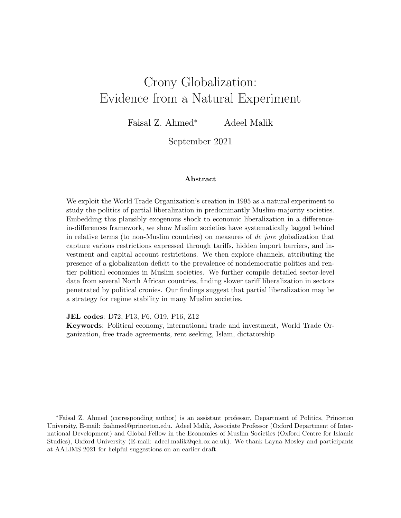# <span id="page-0-0"></span>Crony Globalization: Evidence from a Natural Experiment

Faisal Z. Ahmed<sup>∗</sup> Adeel Malik

September 2021

#### Abstract

We exploit the World Trade Organization's creation in 1995 as a natural experiment to study the politics of partial liberalization in predominantly Muslim-majority societies. Embedding this plausibly exogenous shock to economic liberalization in a differencein-differences framework, we show Muslim societies have systematically lagged behind in relative terms (to non-Muslim countries) on measures of de jure globalization that capture various restrictions expressed through tariffs, hidden import barriers, and investment and capital account restrictions. We then explore channels, attributing the presence of a globalization deficit to the prevalence of nondemocratic politics and rentier political economies in Muslim societies. We further compile detailed sector-level data from several North African countries, finding slower tariff liberalization in sectors penetrated by political cronies. Our findings suggest that partial liberalization may be a strategy for regime stability in many Muslim societies.

JEL codes: D72, F13, F6, O19, P16, Z12

Keywords: Political economy, international trade and investment, World Trade Organization, free trade agreements, rent seeking, Islam, dictatorship

<sup>∗</sup>Faisal Z. Ahmed (corresponding author) is an assistant professor, Department of Politics, Princeton University, E-mail: fzahmed@princeton.edu. Adeel Malik, Associate Professor (Oxford Department of International Development) and Global Fellow in the Economies of Muslim Societies (Oxford Centre for Islamic Studies), Oxford University (E-mail: adeel.malik@qeh.ox.ac.uk). We thank Layna Mosley and participants at AALIMS 2021 for helpful suggestions on an earlier draft.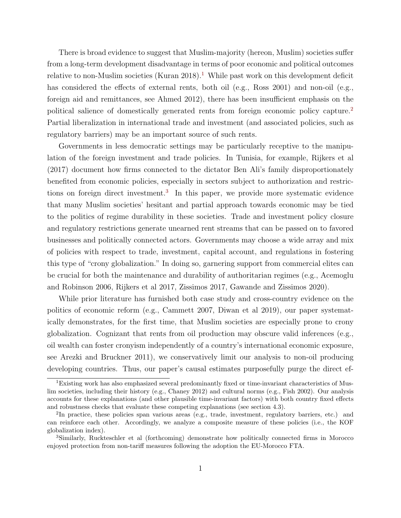There is broad evidence to suggest that Muslim-majority (hereon, Muslim) societies suffer from a long-term development disadvantage in terms of poor economic and political outcomes relative to non-Muslim societies (Kuran 20[1](#page-0-0)8).<sup>1</sup> While past work on this development deficit has considered the effects of external rents, both oil (e.g., Ross 2001) and non-oil (e.g., foreign aid and remittances, see Ahmed 2012), there has been insufficient emphasis on the political salience of domestically generated rents from foreign economic policy capture.<sup>[2](#page-0-0)</sup> Partial liberalization in international trade and investment (and associated policies, such as regulatory barriers) may be an important source of such rents.

Governments in less democratic settings may be particularly receptive to the manipulation of the foreign investment and trade policies. In Tunisia, for example, Rijkers et al (2017) document how firms connected to the dictator Ben Ali's family disproportionately benefited from economic policies, especially in sectors subject to authorization and restric-tions on foreign direct investment.<sup>[3](#page-0-0)</sup> In this paper, we provide more systematic evidence that many Muslim societies' hesitant and partial approach towards economic may be tied to the politics of regime durability in these societies. Trade and investment policy closure and regulatory restrictions generate unearned rent streams that can be passed on to favored businesses and politically connected actors. Governments may choose a wide array and mix of policies with respect to trade, investment, capital account, and regulations in fostering this type of "crony globalization." In doing so, garnering support from commercial elites can be crucial for both the maintenance and durability of authoritarian regimes (e.g., Acemoglu and Robinson 2006, Rijkers et al 2017, Zissimos 2017, Gawande and Zissimos 2020).

While prior literature has furnished both case study and cross-country evidence on the politics of economic reform (e.g., Cammett 2007, Diwan et al 2019), our paper systematically demonstrates, for the first time, that Muslim societies are especially prone to crony globalization. Cognizant that rents from oil production may obscure valid inferences (e.g., oil wealth can foster cronyism independently of a country's international economic exposure, see Arezki and Bruckner 2011), we conservatively limit our analysis to non-oil producing developing countries. Thus, our paper's causal estimates purposefully purge the direct ef-

<sup>1</sup>Existing work has also emphasized several predominantly fixed or time-invariant characteristics of Muslim societies, including their history (e.g., Chaney 2012) and cultural norms (e.g., Fish 2002). Our analysis accounts for these explanations (and other plausible time-invariant factors) with both country fixed effects and robustness checks that evaluate these competing explanations (see section 4.3).

<sup>&</sup>lt;sup>2</sup>In practice, these policies span various areas (e.g., trade, investment, regulatory barriers, etc.) and can reinforce each other. Accordingly, we analyze a composite measure of these policies (i.e., the KOF globalization index).

<sup>3</sup>Similarly, Ruckteschler et al (forthcoming) demonstrate how politically connected firms in Morocco enjoyed protection from non-tariff measures following the adoption the EU-Morocco FTA.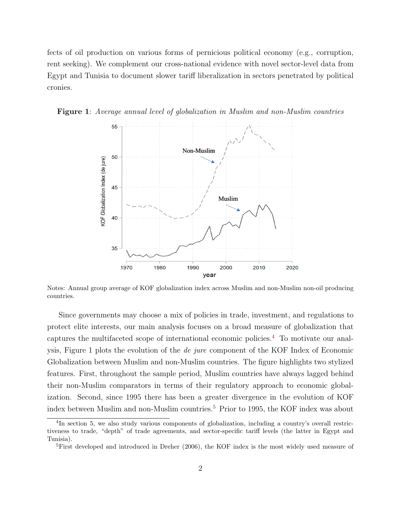fects of oil production on various forms of pernicious political economy (e.g., corruption, rent seeking). We complement our cross-national evidence with novel sector-level data from Egypt and Tunisia to document slower tariff liberalization in sectors penetrated by political cronies.



Figure 1: Average annual level of globalization in Muslim and non-Muslim countries

Notes: Annual group average of KOF globalization index across Muslim and non-Muslim non-oil producing countries.

Since governments may choose a mix of policies in trade, investment, and regulations to protect elite interests, our main analysis focuses on a broad measure of globalization that captures the multifaceted scope of international economic policies.[4](#page-0-0) To motivate our analysis, Figure 1 plots the evolution of the de jure component of the KOF Index of Economic Globalization between Muslim and non-Muslim countries. The figure highlights two stylized features. First, throughout the sample period, Muslim countries have always lagged behind their non-Muslim comparators in terms of their regulatory approach to economic globalization. Second, since 1995 there has been a greater divergence in the evolution of KOF index between Muslim and non-Muslim countries.<sup>[5](#page-0-0)</sup> Prior to 1995, the KOF index was about

<sup>&</sup>lt;sup>4</sup>In section 5, we also study various components of globalization, including a country's overall restrictiveness to trade, "depth" of trade agreements, and sector-specific tariff levels (the latter in Egypt and Tunisia).

<sup>&</sup>lt;sup>5</sup>First developed and introduced in Dreher (2006), the KOF index is the most widely used measure of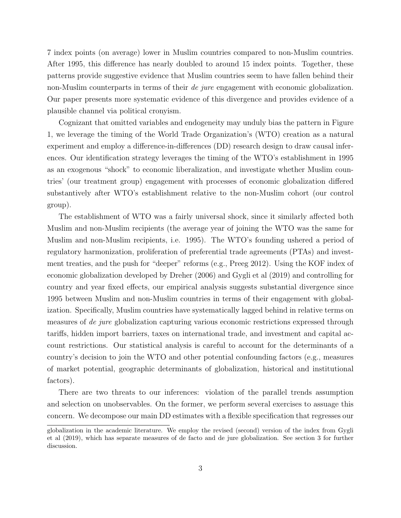7 index points (on average) lower in Muslim countries compared to non-Muslim countries. After 1995, this difference has nearly doubled to around 15 index points. Together, these patterns provide suggestive evidence that Muslim countries seem to have fallen behind their non-Muslim counterparts in terms of their *de jure* engagement with economic globalization. Our paper presents more systematic evidence of this divergence and provides evidence of a plausible channel via political cronyism.

Cognizant that omitted variables and endogeneity may unduly bias the pattern in Figure 1, we leverage the timing of the World Trade Organization's (WTO) creation as a natural experiment and employ a difference-in-differences (DD) research design to draw causal inferences. Our identification strategy leverages the timing of the WTO's establishment in 1995 as an exogenous "shock" to economic liberalization, and investigate whether Muslim countries' (our treatment group) engagement with processes of economic globalization differed substantively after WTO's establishment relative to the non-Muslim cohort (our control group).

The establishment of WTO was a fairly universal shock, since it similarly affected both Muslim and non-Muslim recipients (the average year of joining the WTO was the same for Muslim and non-Muslim recipients, i.e. 1995). The WTO's founding ushered a period of regulatory harmonization, proliferation of preferential trade agreements (PTAs) and investment treaties, and the push for "deeper" reforms (e.g., Preeg 2012). Using the KOF index of economic globalization developed by Dreher (2006) and Gygli et al (2019) and controlling for country and year fixed effects, our empirical analysis suggests substantial divergence since 1995 between Muslim and non-Muslim countries in terms of their engagement with globalization. Specifically, Muslim countries have systematically lagged behind in relative terms on measures of de jure globalization capturing various economic restrictions expressed through tariffs, hidden import barriers, taxes on international trade, and investment and capital account restrictions. Our statistical analysis is careful to account for the determinants of a country's decision to join the WTO and other potential confounding factors (e.g., measures of market potential, geographic determinants of globalization, historical and institutional factors).

There are two threats to our inferences: violation of the parallel trends assumption and selection on unobservables. On the former, we perform several exercises to assuage this concern. We decompose our main DD estimates with a flexible specification that regresses our

globalization in the academic literature. We employ the revised (second) version of the index from Gygli et al (2019), which has separate measures of de facto and de jure globalization. See section 3 for further discussion.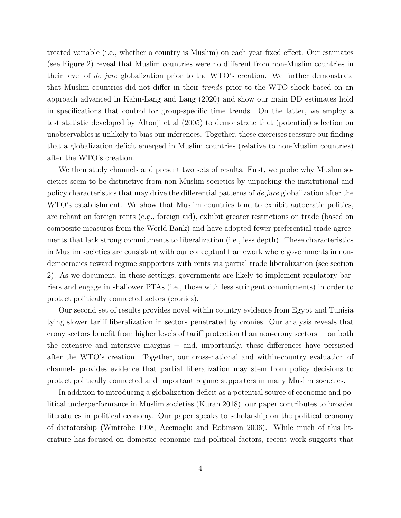treated variable (i.e., whether a country is Muslim) on each year fixed effect. Our estimates (see Figure 2) reveal that Muslim countries were no different from non-Muslim countries in their level of de jure globalization prior to the WTO's creation. We further demonstrate that Muslim countries did not differ in their trends prior to the WTO shock based on an approach advanced in Kahn-Lang and Lang (2020) and show our main DD estimates hold in specifications that control for group-specific time trends. On the latter, we employ a test statistic developed by Altonji et al (2005) to demonstrate that (potential) selection on unobservables is unlikely to bias our inferences. Together, these exercises reassure our finding that a globalization deficit emerged in Muslim countries (relative to non-Muslim countries) after the WTO's creation.

We then study channels and present two sets of results. First, we probe why Muslim societies seem to be distinctive from non-Muslim societies by unpacking the institutional and policy characteristics that may drive the differential patterns of de jure globalization after the WTO's establishment. We show that Muslim countries tend to exhibit autocratic politics, are reliant on foreign rents (e.g., foreign aid), exhibit greater restrictions on trade (based on composite measures from the World Bank) and have adopted fewer preferential trade agreements that lack strong commitments to liberalization (i.e., less depth). These characteristics in Muslim societies are consistent with our conceptual framework where governments in nondemocracies reward regime supporters with rents via partial trade liberalization (see section 2). As we document, in these settings, governments are likely to implement regulatory barriers and engage in shallower PTAs (i.e., those with less stringent commitments) in order to protect politically connected actors (cronies).

Our second set of results provides novel within country evidence from Egypt and Tunisia tying slower tariff liberalization in sectors penetrated by cronies. Our analysis reveals that crony sectors benefit from higher levels of tariff protection than non-crony sectors − on both the extensive and intensive margins − and, importantly, these differences have persisted after the WTO's creation. Together, our cross-national and within-country evaluation of channels provides evidence that partial liberalization may stem from policy decisions to protect politically connected and important regime supporters in many Muslim societies.

In addition to introducing a globalization deficit as a potential source of economic and political underperformance in Muslim societies (Kuran 2018), our paper contributes to broader literatures in political economy. Our paper speaks to scholarship on the political economy of dictatorship (Wintrobe 1998, Acemoglu and Robinson 2006). While much of this literature has focused on domestic economic and political factors, recent work suggests that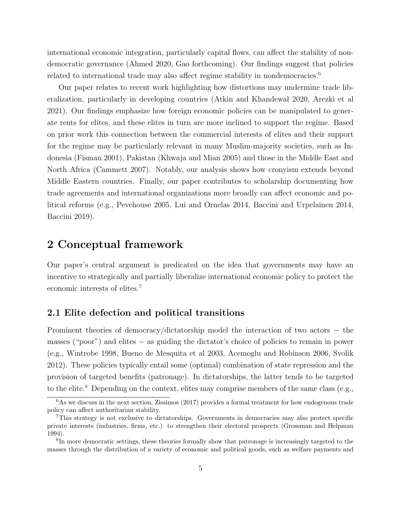international economic integration, particularly capital flows, can affect the stability of nondemocratic governance (Ahmed 2020, Gao forthcoming). Our findings suggest that policies related to international trade may also affect regime stability in nondemocracies.<sup>[6](#page-0-0)</sup>

Our paper relates to recent work highlighting how distortions may undermine trade liberalization, particularly in developing countries (Atkin and Khandewal 2020, Arezki et al 2021). Our findings emphasize how foreign economic policies can be manipulated to generate rents for elites, and these elites in turn are more inclined to support the regime. Based on prior work this connection between the commercial interests of elites and their support for the regime may be particularly relevant in many Muslim-majority societies, such as Indonesia (Fisman 2001), Pakistan (Khwaja and Mian 2005) and those in the Middle East and North Africa (Cammett 2007). Notably, our analysis shows how cronyism extends beyond Middle Eastern countries. Finally, our paper contributes to scholarship documenting how trade agreements and international organizations more broadly can affect economic and political reforms (e.g., Pevehouse 2005, Lui and Ornelas 2014, Baccini and Urpelainen 2014, Baccini 2019).

### 2 Conceptual framework

Our paper's central argument is predicated on the idea that governments may have an incentive to strategically and partially liberalize international economic policy to protect the economic interests of elites.[7](#page-0-0)

#### 2.1 Elite defection and political transitions

Prominent theories of democracy/dictatorship model the interaction of two actors − the masses ("poor") and elites – as guiding the dictator's choice of policies to remain in power (e.g., Wintrobe 1998, Bueno de Mesquita et al 2003, Acemoglu and Robinson 2006, Svolik 2012). These policies typically entail some (optimal) combination of state repression and the provision of targeted benefits (patronage). In dictatorships, the latter tends to be targeted to the elite.<sup>[8](#page-0-0)</sup> Depending on the context, elites may comprise members of the same class (e.g.,

 ${}^{6}$ As we discuss in the next section, Zissimos (2017) provides a formal treatment for how endogenous trade policy can affect authoritarian stability.

<sup>7</sup>This strategy is not exclusive to dictatorships. Governments in democracies may also protect specific private interests (industries, firms, etc.) to strengthen their electoral prospects (Grossman and Helpman 1994).

<sup>&</sup>lt;sup>8</sup>In more democratic settings, these theories formally show that patronage is increasingly targeted to the masses through the distribution of a variety of economic and political goods, such as welfare payments and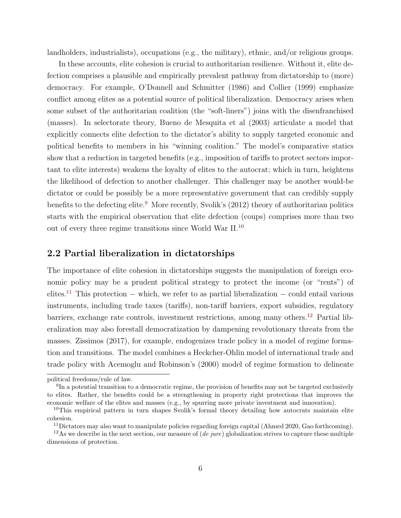landholders, industrialists), occupations (e.g., the military), ethnic, and/or religious groups.

In these accounts, elite cohesion is crucial to authoritarian resilience. Without it, elite defection comprises a plausible and empirically prevalent pathway from dictatorship to (more) democracy. For example, O'Donnell and Schmitter (1986) and Collier (1999) emphasize conflict among elites as a potential source of political liberalization. Democracy arises when some subset of the authoritarian coalition (the "soft-liners") joins with the disenfranchised (masses). In selectorate theory, Bueno de Mesquita et al (2003) articulate a model that explicitly connects elite defection to the dictator's ability to supply targeted economic and political benefits to members in his "winning coalition." The model's comparative statics show that a reduction in targeted benefits (e.g., imposition of tariffs to protect sectors important to elite interests) weakens the loyalty of elites to the autocrat; which in turn, heightens the likelihood of defection to another challenger. This challenger may be another would-be dictator or could be possibly be a more representative government that can credibly supply benefits to the defecting elite.<sup>[9](#page-0-0)</sup> More recently, Svolik's (2012) theory of authoritarian politics starts with the empirical observation that elite defection (coups) comprises more than two out of every three regime transitions since World War II.[10](#page-0-0)

#### 2.2 Partial liberalization in dictatorships

The importance of elite cohesion in dictatorships suggests the manipulation of foreign economic policy may be a prudent political strategy to protect the income (or "rents") of elites.<sup>[11](#page-0-0)</sup> This protection – which, we refer to as partial liberalization – could entail various instruments, including trade taxes (tariffs), non-tariff barriers, export subsidies, regulatory barriers, exchange rate controls, investment restrictions, among many others.<sup>[12](#page-0-0)</sup> Partial liberalization may also forestall democratization by dampening revolutionary threats from the masses. Zissimos (2017), for example, endogenizes trade policy in a model of regime formation and transitions. The model combines a Heckcher-Ohlin model of international trade and trade policy with Acemoglu and Robinson's (2000) model of regime formation to delineate

political freedoms/rule of law.

<sup>&</sup>lt;sup>9</sup>In a potential transition to a democratic regime, the provision of benefits may not be targeted exclusively to elites. Rather, the benefits could be a strengthening in property right protections that improves the economic welfare of the elites and masses (e.g., by spurring more private investment and innovation).

<sup>10</sup>This empirical pattern in turn shapes Svolik's formal theory detailing how autocrats maintain elite cohesion.

<sup>&</sup>lt;sup>11</sup>Dictators may also want to manipulate policies regarding foreign capital (Ahmed 2020, Gao forthcoming).

 $12\text{As}$  we describe in the next section, our measure of (*de jure*) globalization strives to capture these multiple dimensions of protection.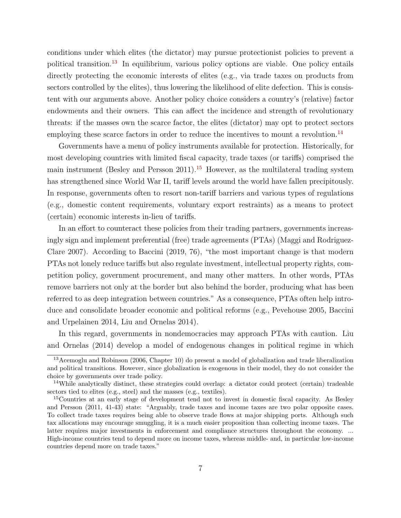conditions under which elites (the dictator) may pursue protectionist policies to prevent a political transition.[13](#page-0-0) In equilibrium, various policy options are viable. One policy entails directly protecting the economic interests of elites (e.g., via trade taxes on products from sectors controlled by the elites), thus lowering the likelihood of elite defection. This is consistent with our arguments above. Another policy choice considers a country's (relative) factor endowments and their owners. This can affect the incidence and strength of revolutionary threats: if the masses own the scarce factor, the elites (dictator) may opt to protect sectors employing these scarce factors in order to reduce the incentives to mount a revolution.<sup>[14](#page-0-0)</sup>

Governments have a menu of policy instruments available for protection. Historically, for most developing countries with limited fiscal capacity, trade taxes (or tariffs) comprised the main instrument (Besley and Persson 2011).<sup>[15](#page-0-0)</sup> However, as the multilateral trading system has strengthened since World War II, tariff levels around the world have fallen precipitously. In response, governments often to resort non-tariff barriers and various types of regulations (e.g., domestic content requirements, voluntary export restraints) as a means to protect (certain) economic interests in-lieu of tariffs.

In an effort to counteract these policies from their trading partners, governments increasingly sign and implement preferential (free) trade agreements (PTAs) (Maggi and Rodriguez-Clare 2007). According to Baccini (2019, 76), "the most important change is that modern PTAs not lonely reduce tariffs but also regulate investment, intellectual property rights, competition policy, government procurement, and many other matters. In other words, PTAs remove barriers not only at the border but also behind the border, producing what has been referred to as deep integration between countries." As a consequence, PTAs often help introduce and consolidate broader economic and political reforms (e.g., Pevehouse 2005, Baccini and Urpelainen 2014, Liu and Ornelas 2014).

In this regard, governments in nondemocracies may approach PTAs with caution. Liu and Ornelas (2014) develop a model of endogenous changes in political regime in which

<sup>13</sup>Acemoglu and Robinson (2006, Chapter 10) do present a model of globalization and trade liberalization and political transitions. However, since globalization is exogenous in their model, they do not consider the choice by governments over trade policy.

<sup>&</sup>lt;sup>14</sup>While analytically distinct, these strategies could overlap: a dictator could protect (certain) tradeable sectors tied to elites (e.g., steel) and the masses (e.g., textiles).

<sup>15</sup>Countries at an early stage of development tend not to invest in domestic fiscal capacity. As Besley and Persson (2011, 41-43) state: "Arguably, trade taxes and income taxes are two polar opposite cases. To collect trade taxes requires being able to observe trade flows at major shipping ports. Although such tax allocations may encourage smuggling, it is a much easier proposition than collecting income taxes. The latter requires major investments in enforcement and compliance structures throughout the economy. ... High-income countries tend to depend more on income taxes, whereas middle- and, in particular low-income countries depend more on trade taxes."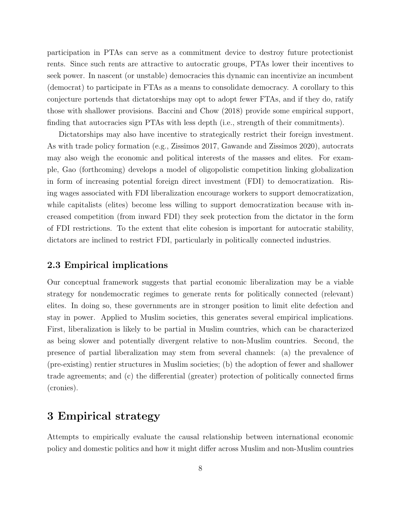participation in PTAs can serve as a commitment device to destroy future protectionist rents. Since such rents are attractive to autocratic groups, PTAs lower their incentives to seek power. In nascent (or unstable) democracies this dynamic can incentivize an incumbent (democrat) to participate in FTAs as a means to consolidate democracy. A corollary to this conjecture portends that dictatorships may opt to adopt fewer FTAs, and if they do, ratify those with shallower provisions. Baccini and Chow (2018) provide some empirical support, finding that autocracies sign PTAs with less depth (i.e., strength of their commitments).

Dictatorships may also have incentive to strategically restrict their foreign investment. As with trade policy formation (e.g., Zissimos 2017, Gawande and Zissimos 2020), autocrats may also weigh the economic and political interests of the masses and elites. For example, Gao (forthcoming) develops a model of oligopolistic competition linking globalization in form of increasing potential foreign direct investment (FDI) to democratization. Rising wages associated with FDI liberalization encourage workers to support democratization, while capitalists (elites) become less willing to support democratization because with increased competition (from inward FDI) they seek protection from the dictator in the form of FDI restrictions. To the extent that elite cohesion is important for autocratic stability, dictators are inclined to restrict FDI, particularly in politically connected industries.

#### 2.3 Empirical implications

Our conceptual framework suggests that partial economic liberalization may be a viable strategy for nondemocratic regimes to generate rents for politically connected (relevant) elites. In doing so, these governments are in stronger position to limit elite defection and stay in power. Applied to Muslim societies, this generates several empirical implications. First, liberalization is likely to be partial in Muslim countries, which can be characterized as being slower and potentially divergent relative to non-Muslim countries. Second, the presence of partial liberalization may stem from several channels: (a) the prevalence of (pre-existing) rentier structures in Muslim societies; (b) the adoption of fewer and shallower trade agreements; and (c) the differential (greater) protection of politically connected firms (cronies).

## 3 Empirical strategy

Attempts to empirically evaluate the causal relationship between international economic policy and domestic politics and how it might differ across Muslim and non-Muslim countries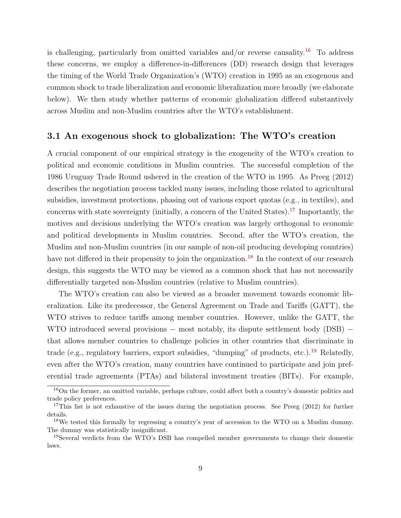is challenging, particularly from omitted variables and/or reverse causality.<sup>[16](#page-0-0)</sup> To address these concerns, we employ a difference-in-differences (DD) research design that leverages the timing of the World Trade Organization's (WTO) creation in 1995 as an exogenous and common shock to trade liberalization and economic liberalization more broadly (we elaborate below). We then study whether patterns of economic globalization differed substantively across Muslim and non-Muslim countries after the WTO's establishment.

#### 3.1 An exogenous shock to globalization: The WTO's creation

A crucial component of our empirical strategy is the exogeneity of the WTO's creation to political and economic conditions in Muslim countries. The successful completion of the 1986 Uruguay Trade Round ushered in the creation of the WTO in 1995. As Preeg (2012) describes the negotiation process tackled many issues, including those related to agricultural subsidies, investment protections, phasing out of various export quotas (e.g., in textiles), and concerns with state sovereignty (initially, a concern of the United States).[17](#page-0-0) Importantly, the motives and decisions underlying the WTO's creation was largely orthogonal to economic and political developments in Muslim countries. Second, after the WTO's creation, the Muslim and non-Muslim countries (in our sample of non-oil producing developing countries) have not differed in their propensity to join the organization.<sup>[18](#page-0-0)</sup> In the context of our research design, this suggests the WTO may be viewed as a common shock that has not necessarily differentially targeted non-Muslim countries (relative to Muslim countries).

The WTO's creation can also be viewed as a broader movement towards economic liberalization. Like its predecessor, the General Agreement on Trade and Tariffs (GATT), the WTO strives to reduce tariffs among member countries. However, unlike the GATT, the WTO introduced several provisions – most notably, its dispute settlement body (DSB) – that allows member countries to challenge policies in other countries that discriminate in trade (e.g., regulatory barriers, export subsidies, "dumping" of products, etc.).<sup>[19](#page-0-0)</sup> Relatedly, even after the WTO's creation, many countries have continued to participate and join preferential trade agreements (PTAs) and bilateral investment treaties (BITs). For example,

<sup>16</sup>On the former, an omitted variable, perhaps culture, could affect both a country's domestic politics and trade policy preferences.

<sup>&</sup>lt;sup>17</sup>This list is not exhaustive of the issues during the negotiation process. See Preeg (2012) for further details.

<sup>&</sup>lt;sup>18</sup>We tested this formally by regressing a country's year of accession to the WTO on a Muslim dummy. The dummy was statistically insignificant.

<sup>&</sup>lt;sup>19</sup>Several verdicts from the WTO's DSB has compelled member governments to change their domestic laws.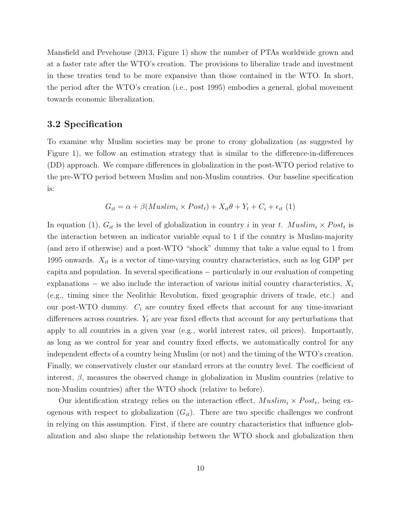Mansfield and Pevehouse (2013, Figure 1) show the number of PTAs worldwide grown and at a faster rate after the WTO's creation. The provisions to liberalize trade and investment in these treaties tend to be more expansive than those contained in the WTO. In short, the period after the WTO's creation (i.e., post 1995) embodies a general, global movement towards economic liberalization.

#### 3.2 Specification

To examine why Muslim societies may be prone to crony globalization (as suggested by Figure 1), we follow an estimation strategy that is similar to the difference-in-differences (DD) approach. We compare differences in globalization in the post-WTO period relative to the pre-WTO period between Muslim and non-Muslim countries. Our baseline specification is:

$$
G_{it} = \alpha + \beta(Muslim_{i} \times Post_{t}) + X_{it}\theta + Y_{t} + C_{i} + \epsilon_{it} (1)
$$

In equation (1),  $G_{it}$  is the level of globalization in country i in year t. Muslim<sub>i</sub>  $\times Post_t$  is the interaction between an indicator variable equal to 1 if the country is Muslim-majority (and zero if otherwise) and a post-WTO "shock" dummy that take a value equal to 1 from 1995 onwards.  $X_{it}$  is a vector of time-varying country characteristics, such as log GDP per capita and population. In several specifications − particularly in our evaluation of competing explanations – we also include the interaction of various initial country characteristics,  $X_i$ (e.g., timing since the Neolithic Revolution, fixed geographic drivers of trade, etc.) and our post-WTO dummy.  $C_i$  are country fixed effects that account for any time-invariant differences across countries.  $Y_t$  are year fixed effects that account for any perturbations that apply to all countries in a given year (e.g., world interest rates, oil prices). Importantly, as long as we control for year and country fixed effects, we automatically control for any independent effects of a country being Muslim (or not) and the timing of the WTO's creation. Finally, we conservatively cluster our standard errors at the country level. The coefficient of interest,  $\beta$ , measures the observed change in globalization in Muslim countries (relative to non-Muslim countries) after the WTO shock (relative to before).

Our identification strategy relies on the interaction effect,  $Muslim_i \times Post_t$ , being exogenous with respect to globalization  $(G_{it})$ . There are two specific challenges we confront in relying on this assumption. First, if there are country characteristics that influence globalization and also shape the relationship between the WTO shock and globalization then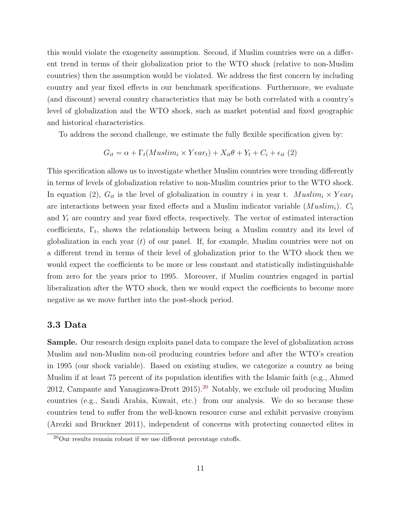this would violate the exogeneity assumption. Second, if Muslim countries were on a different trend in terms of their globalization prior to the WTO shock (relative to non-Muslim countries) then the assumption would be violated. We address the first concern by including country and year fixed effects in our benchmark specifications. Furthermore, we evaluate (and discount) several country characteristics that may be both correlated with a country's level of globalization and the WTO shock, such as market potential and fixed geographic and historical characteristics.

To address the second challenge, we estimate the fully flexible specification given by:

$$
G_{it} = \alpha + \Gamma_t(Muslim_i \times Year_t) + X_{it}\theta + Y_t + C_i + \epsilon_{it} (2)
$$

This specification allows us to investigate whether Muslim countries were trending differently in terms of levels of globalization relative to non-Muslim countries prior to the WTO shock. In equation (2),  $G_{it}$  is the level of globalization in country i in year t. Muslim<sub>i</sub>  $\times$  Year<sub>t</sub> are interactions between year fixed effects and a Muslim indicator variable  $(Muslim_i)$ .  $C_i$ and  $Y_t$  are country and year fixed effects, respectively. The vector of estimated interaction coefficients,  $\Gamma_t$ , shows the relationship between being a Muslim country and its level of globalization in each year  $(t)$  of our panel. If, for example, Muslim countries were not on a different trend in terms of their level of globalization prior to the WTO shock then we would expect the coefficients to be more or less constant and statistically indistinguishable from zero for the years prior to 1995. Moreover, if Muslim countries engaged in partial liberalization after the WTO shock, then we would expect the coefficients to become more negative as we move further into the post-shock period.

#### 3.3 Data

Sample. Our research design exploits panel data to compare the level of globalization across Muslim and non-Muslim non-oil producing countries before and after the WTO's creation in 1995 (our shock variable). Based on existing studies, we categorize a country as being Muslim if at least 75 percent of its population identifies with the Islamic faith (e.g., Ahmed [20](#page-0-0)12, Campante and Yanagizawa-Drott  $2015$ .<sup>20</sup> Notably, we exclude oil producing Muslim countries (e.g., Saudi Arabia, Kuwait, etc.) from our analysis. We do so because these countries tend to suffer from the well-known resource curse and exhibit pervasive cronyism (Arezki and Bruckner 2011), independent of concerns with protecting connected elites in

 $20$ Our results remain robust if we use different percentage cutoffs.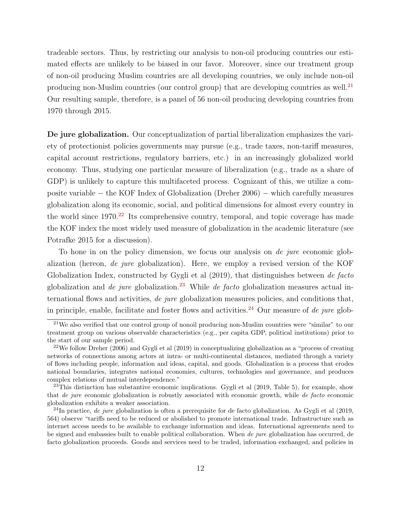tradeable sectors. Thus, by restricting our analysis to non-oil producing countries our estimated effects are unlikely to be biased in our favor. Moreover, since our treatment group of non-oil producing Muslim countries are all developing countries, we only include non-oil producing non-Muslim countries (our control group) that are developing countries as well.[21](#page-0-0) Our resulting sample, therefore, is a panel of 56 non-oil producing developing countries from 1970 through 2015.

De jure globalization. Our conceptualization of partial liberalization emphasizes the variety of protectionist policies governments may pursue (e.g., trade taxes, non-tariff measures, capital account restrictions, regulatory barriers, etc.) in an increasingly globalized world economy. Thus, studying one particular measure of liberalization (e.g., trade as a share of GDP) is unlikely to capture this multifaceted process. Cognizant of this, we utilize a composite variable − the KOF Index of Globalization (Dreher 2006) − which carefully measures globalization along its economic, social, and political dimensions for almost every country in the world since 1970.<sup>[22](#page-0-0)</sup> Its comprehensive country, temporal, and topic coverage has made the KOF index the most widely used measure of globalization in the academic literature (see Potrafke 2015 for a discussion).

To hone in on the policy dimension, we focus our analysis on de jure economic globalization (hereon, de jure globalization). Here, we employ a revised version of the KOF Globalization Index, constructed by Gygli et al (2019), that distinguishes between de facto globalization and *de jure* globalization.<sup>[23](#page-0-0)</sup> While *de facto* globalization measures actual international flows and activities, de jure globalization measures policies, and conditions that, in principle, enable, facilitate and foster flows and activities.<sup>[24](#page-0-0)</sup> Our measure of de jure glob-

<sup>&</sup>lt;sup>21</sup>We also verified that our control group of nonoil producing non-Muslim countries were "similar" to our treatment group on various observable characteristics (e.g., per capita GDP, political institutions) prior to the start of our sample period.

 $22$ We follow Dreher (2006) and Gygli et al (2019) in conceptualizing globalization as a "process of creating networks of connections among actors at intra- or multi-continental distances, mediated through a variety of flows including people, information and ideas, capital, and goods. Globalization is a process that erodes national boundaries, integrates national economies, cultures, technologies and governance, and produces complex relations of mutual interdependence."

 $^{23}$ This distinction has substantive economic implications. Gygli et al (2019, Table 5), for example, show that de jure economic globalization is robustly associated with economic growth, while de facto economic globalization exhibits a weaker association.

<sup>&</sup>lt;sup>24</sup>In practice, *de jure* globalization is often a prerequisite for de facto globalization. As Gygli et al  $(2019, 0.000)$ 564) observe "tariffs need to be reduced or abolished to promote international trade. Infrastructure such as internet access needs to be available to exchange information and ideas. International agreements need to be signed and embassies built to enable political collaboration. When de jure globalization has occurred, de facto globalization proceeds. Goods and services need to be traded, information exchanged, and policies in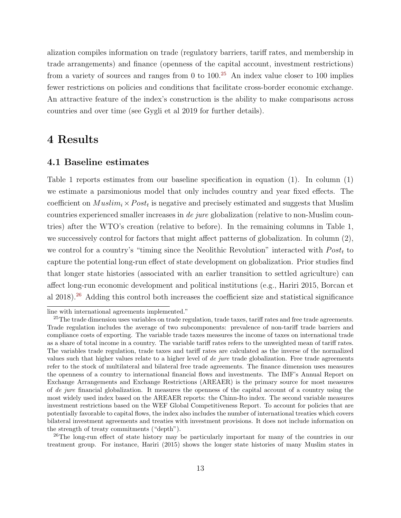alization compiles information on trade (regulatory barriers, tariff rates, and membership in trade arrangements) and finance (openness of the capital account, investment restrictions) from a variety of sources and ranges from 0 to  $100^{25}$  $100^{25}$  $100^{25}$  An index value closer to 100 implies fewer restrictions on policies and conditions that facilitate cross-border economic exchange. An attractive feature of the index's construction is the ability to make comparisons across countries and over time (see Gygli et al 2019 for further details).

## 4 Results

#### 4.1 Baseline estimates

Table 1 reports estimates from our baseline specification in equation (1). In column (1) we estimate a parsimonious model that only includes country and year fixed effects. The coefficient on  $Muslim_i \times Post_t$  is negative and precisely estimated and suggests that Muslim countries experienced smaller increases in de jure globalization (relative to non-Muslim countries) after the WTO's creation (relative to before). In the remaining columns in Table 1, we successively control for factors that might affect patterns of globalization. In column (2), we control for a country's "timing since the Neolithic Revolution" interacted with  $Post<sub>t</sub>$  to capture the potential long-run effect of state development on globalization. Prior studies find that longer state histories (associated with an earlier transition to settled agriculture) can affect long-run economic development and political institutions (e.g., Hariri 2015, Borcan et al 2018).[26](#page-0-0) Adding this control both increases the coefficient size and statistical significance

<sup>26</sup>The long-run effect of state history may be particularly important for many of the countries in our treatment group. For instance, Hariri (2015) shows the longer state histories of many Muslim states in

line with international agreements implemented."

<sup>&</sup>lt;sup>25</sup>The trade dimension uses variables on trade regulation, trade taxes, tariff rates and free trade agreements. Trade regulation includes the average of two subcomponents: prevalence of non-tariff trade barriers and compliance costs of exporting. The variable trade taxes measures the income of taxes on international trade as a share of total income in a country. The variable tariff rates refers to the unweighted mean of tariff rates. The variables trade regulation, trade taxes and tariff rates are calculated as the inverse of the normalized values such that higher values relate to a higher level of de jure trade globalization. Free trade agreements refer to the stock of multilateral and bilateral free trade agreements. The finance dimension uses measures the openness of a country to international financial flows and investments. The IMF's Annual Report on Exchange Arrangements and Exchange Restrictions (AREAER) is the primary source for most measures of de jure financial globalization. It measures the openness of the capital account of a country using the most widely used index based on the AREAER reports: the Chinn-Ito index. The second variable measures investment restrictions based on the WEF Global Competitiveness Report. To account for policies that are potentially favorable to capital flows, the index also includes the number of international treaties which covers bilateral investment agreements and treaties with investment provisions. It does not include information on the strength of treaty commitments ("depth").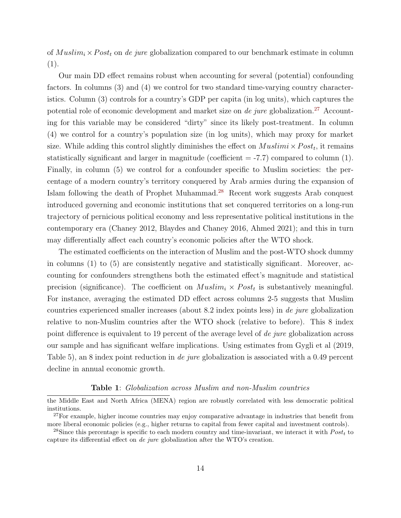of  $Muslim_i \times Post_t$  on de jure globalization compared to our benchmark estimate in column (1).

Our main DD effect remains robust when accounting for several (potential) confounding factors. In columns (3) and (4) we control for two standard time-varying country characteristics. Column (3) controls for a country's GDP per capita (in log units), which captures the potential role of economic development and market size on *de jure* globalization.<sup>[27](#page-0-0)</sup> Accounting for this variable may be considered "dirty" since its likely post-treatment. In column (4) we control for a country's population size (in log units), which may proxy for market size. While adding this control slightly diminishes the effect on  $Muslimi \times Post_t$ , it remains statistically significant and larger in magnitude (coefficient  $= -7.7$ ) compared to column (1). Finally, in column (5) we control for a confounder specific to Muslim societies: the percentage of a modern country's territory conquered by Arab armies during the expansion of Islam following the death of Prophet Muhammad.[28](#page-0-0) Recent work suggests Arab conquest introduced governing and economic institutions that set conquered territories on a long-run trajectory of pernicious political economy and less representative political institutions in the contemporary era (Chaney 2012, Blaydes and Chaney 2016, Ahmed 2021); and this in turn may differentially affect each country's economic policies after the WTO shock.

The estimated coefficients on the interaction of Muslim and the post-WTO shock dummy in columns (1) to (5) are consistently negative and statistically significant. Moreover, accounting for confounders strengthens both the estimated effect's magnitude and statistical precision (significance). The coefficient on  $Muslim_i \times Post_t$  is substantively meaningful. For instance, averaging the estimated DD effect across columns 2-5 suggests that Muslim countries experienced smaller increases (about 8.2 index points less) in de jure globalization relative to non-Muslim countries after the WTO shock (relative to before). This 8 index point difference is equivalent to 19 percent of the average level of de jure globalization across our sample and has significant welfare implications. Using estimates from Gygli et al (2019, Table 5), an 8 index point reduction in *de jure* globalization is associated with a 0.49 percent decline in annual economic growth.

#### Table 1: Globalization across Muslim and non-Muslim countries

the Middle East and North Africa (MENA) region are robustly correlated with less democratic political institutions.

<sup>&</sup>lt;sup>27</sup>For example, higher income countries may enjoy comparative advantage in industries that benefit from more liberal economic policies (e.g., higher returns to capital from fewer capital and investment controls).

<sup>&</sup>lt;sup>28</sup>Since this percentage is specific to each modern country and time-invariant, we interact it with  $Post<sub>t</sub>$  to capture its differential effect on de jure globalization after the WTO's creation.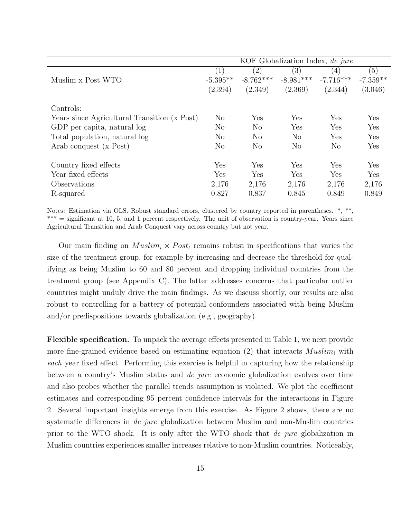|                                              |            |                | KOF Globalization Index, de jure |             |            |
|----------------------------------------------|------------|----------------|----------------------------------|-------------|------------|
|                                              | (1)        | (2)            | (3)                              | (4)         | (5)        |
| Muslim x Post WTO                            | $-5.395**$ | $-8.762***$    | $-8.981***$                      | $-7.716***$ | $-7.359**$ |
|                                              | (2.394)    | (2.349)        | (2.369)                          | (2.344)     | (3.046)    |
| Controls:                                    |            |                |                                  |             |            |
| Years since Agricultural Transition (x Post) | No         | Yes            | Yes                              | Yes         | Yes        |
| GDP per capita, natural log                  | No         | N <sub>o</sub> | Yes                              | Yes         | Yes        |
| Total population, natural log                | $\rm No$   | N <sub>o</sub> | N <sub>o</sub>                   | Yes         | Yes        |
| Arab conquest (x Post)                       | $\rm No$   | N <sub>o</sub> | N <sub>o</sub>                   | No          | Yes        |
| Country fixed effects                        | Yes        | Yes            | Yes                              | Yes         | Yes        |
| Year fixed effects                           | Yes        | Yes            | Yes                              | Yes         | Yes        |
| Observations                                 | 2,176      | 2,176          | 2,176                            | 2,176       | 2,176      |
| R-squared                                    | 0.827      | 0.837          | 0.845                            | 0.849       | 0.849      |

Notes: Estimation via OLS. Robust standard errors, clustered by country reported in parentheses. \*, \*\*, \*\*\* = significant at 10, 5, and 1 percent respectively. The unit of observation is country-year. Years since Agricultural Transition and Arab Conquest vary across country but not year.

Our main finding on  $Muslim_i \times Post_t$  remains robust in specifications that varies the size of the treatment group, for example by increasing and decrease the threshold for qualifying as being Muslim to 60 and 80 percent and dropping individual countries from the treatment group (see Appendix C). The latter addresses concerns that particular outlier countries might unduly drive the main findings. As we discuss shortly, our results are also robust to controlling for a battery of potential confounders associated with being Muslim and/or predispositions towards globalization (e.g., geography).

Flexible specification. To unpack the average effects presented in Table 1, we next provide more fine-grained evidence based on estimating equation (2) that interacts  $Muslim_i$  with each year fixed effect. Performing this exercise is helpful in capturing how the relationship between a country's Muslim status and de jure economic globalization evolves over time and also probes whether the parallel trends assumption is violated. We plot the coefficient estimates and corresponding 95 percent confidence intervals for the interactions in Figure 2. Several important insights emerge from this exercise. As Figure 2 shows, there are no systematic differences in *de jure* globalization between Muslim and non-Muslim countries prior to the WTO shock. It is only after the WTO shock that de jure globalization in Muslim countries experiences smaller increases relative to non-Muslim countries. Noticeably,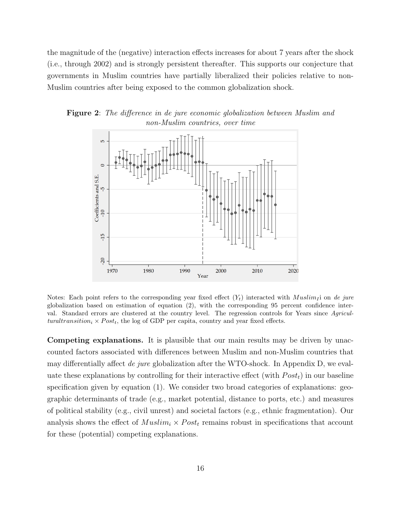the magnitude of the (negative) interaction effects increases for about 7 years after the shock (i.e., through 2002) and is strongly persistent thereafter. This supports our conjecture that governments in Muslim countries have partially liberalized their policies relative to non-Muslim countries after being exposed to the common globalization shock.



**Figure 2:** The difference in de jure economic globalization between Muslim and non-Muslim countries, over time

Notes: Each point refers to the corresponding year fixed effect  $(Y_t)$  interacted with Muslim<sub>I</sub> i on de jure globalization based on estimation of equation (2), with the corresponding 95 percent confidence interval. Standard errors are clustered at the country level. The regression controls for Years since Agricul $tural transition_i \times Post_t,$  the log of GDP per capita, country and year fixed effects.

Competing explanations. It is plausible that our main results may be driven by unaccounted factors associated with differences between Muslim and non-Muslim countries that may differentially affect de jure globalization after the WTO-shock. In Appendix D, we evaluate these explanations by controlling for their interactive effect (with  $Post<sub>t</sub>$ ) in our baseline specification given by equation (1). We consider two broad categories of explanations: geographic determinants of trade (e.g., market potential, distance to ports, etc.) and measures of political stability (e.g., civil unrest) and societal factors (e.g., ethnic fragmentation). Our analysis shows the effect of  $Muslim_i \times Post_t$  remains robust in specifications that account for these (potential) competing explanations.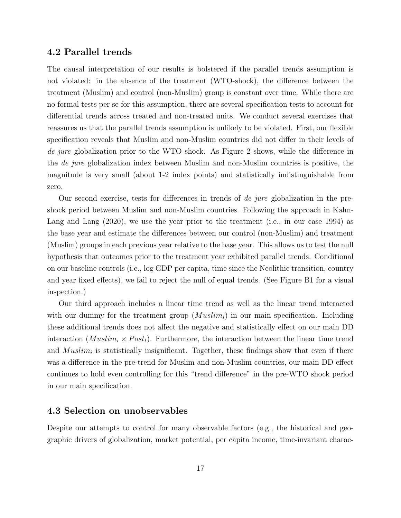#### 4.2 Parallel trends

The causal interpretation of our results is bolstered if the parallel trends assumption is not violated: in the absence of the treatment (WTO-shock), the difference between the treatment (Muslim) and control (non-Muslim) group is constant over time. While there are no formal tests per se for this assumption, there are several specification tests to account for differential trends across treated and non-treated units. We conduct several exercises that reassures us that the parallel trends assumption is unlikely to be violated. First, our flexible specification reveals that Muslim and non-Muslim countries did not differ in their levels of de jure globalization prior to the WTO shock. As Figure 2 shows, while the difference in the de jure globalization index between Muslim and non-Muslim countries is positive, the magnitude is very small (about 1-2 index points) and statistically indistinguishable from zero.

Our second exercise, tests for differences in trends of de jure globalization in the preshock period between Muslim and non-Muslim countries. Following the approach in Kahn-Lang and Lang  $(2020)$ , we use the year prior to the treatment (i.e., in our case 1994) as the base year and estimate the differences between our control (non-Muslim) and treatment (Muslim) groups in each previous year relative to the base year. This allows us to test the null hypothesis that outcomes prior to the treatment year exhibited parallel trends. Conditional on our baseline controls (i.e., log GDP per capita, time since the Neolithic transition, country and year fixed effects), we fail to reject the null of equal trends. (See Figure B1 for a visual inspection.)

Our third approach includes a linear time trend as well as the linear trend interacted with our dummy for the treatment group  $(Muslim_i)$  in our main specification. Including these additional trends does not affect the negative and statistically effect on our main DD interaction (*Muslim<sub>i</sub>*  $\times$  *Post<sub>t</sub>*). Furthermore, the interaction between the linear time trend and  $Muslim_i$  is statistically insignificant. Together, these findings show that even if there was a difference in the pre-trend for Muslim and non-Muslim countries, our main DD effect continues to hold even controlling for this "trend difference" in the pre-WTO shock period in our main specification.

#### 4.3 Selection on unobservables

Despite our attempts to control for many observable factors (e.g., the historical and geographic drivers of globalization, market potential, per capita income, time-invariant charac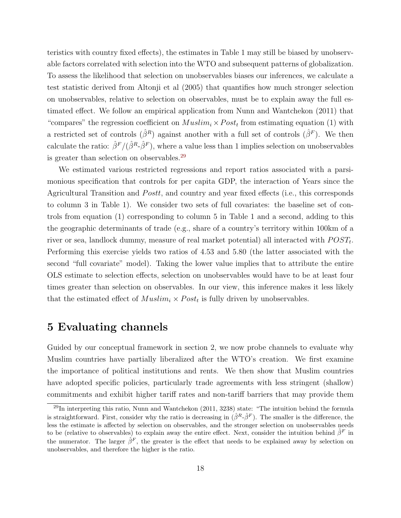teristics with country fixed effects), the estimates in Table 1 may still be biased by unobservable factors correlated with selection into the WTO and subsequent patterns of globalization. To assess the likelihood that selection on unobservables biases our inferences, we calculate a test statistic derived from Altonji et al (2005) that quantifies how much stronger selection on unobservables, relative to selection on observables, must be to explain away the full estimated effect. We follow an empirical application from Nunn and Wantchekon (2011) that "compares" the regression coefficient on  $Muslim_i \times Post_t$  from estimating equation (1) with a restricted set of controls  $(\hat{\beta}^R)$  against another with a full set of controls  $(\hat{\beta}^F)$ . We then calculate the ratio:  $\hat{\beta}^F/(\hat{\beta}^R-\hat{\beta}^F)$ , where a value less than 1 implies selection on unobservables is greater than selection on observables.[29](#page-0-0)

We estimated various restricted regressions and report ratios associated with a parsimonious specification that controls for per capita GDP, the interaction of Years since the Agricultural Transition and *Postt*, and country and year fixed effects (i.e., this corresponds to column 3 in Table 1). We consider two sets of full covariates: the baseline set of controls from equation (1) corresponding to column 5 in Table 1 and a second, adding to this the geographic determinants of trade (e.g., share of a country's territory within 100km of a river or sea, landlock dummy, measure of real market potential) all interacted with  $POST_t$ . Performing this exercise yields two ratios of 4.53 and 5.80 (the latter associated with the second "full covariate" model). Taking the lower value implies that to attribute the entire OLS estimate to selection effects, selection on unobservables would have to be at least four times greater than selection on observables. In our view, this inference makes it less likely that the estimated effect of  $Muslim_i \times Post_t$  is fully driven by unobservables.

### 5 Evaluating channels

Guided by our conceptual framework in section 2, we now probe channels to evaluate why Muslim countries have partially liberalized after the WTO's creation. We first examine the importance of political institutions and rents. We then show that Muslim countries have adopted specific policies, particularly trade agreements with less stringent (shallow) commitments and exhibit higher tariff rates and non-tariff barriers that may provide them

 $^{29}$ In interpreting this ratio, Nunn and Wantchekon (2011, 3238) state: "The intuition behind the formula is straightforward. First, consider why the ratio is decreasing in  $(\hat{\beta}^R \cdot \hat{\beta}^F)$ . The smaller is the difference, the less the estimate is affected by selection on observables, and the stronger selection on unobservables needs to be (relative to observables) to explain away the entire effect. Next, consider the intuition behind  $\hat{\beta}^F$  in the numerator. The larger  $\hat{\beta}^F$ , the greater is the effect that needs to be explained away by selection on unobservables, and therefore the higher is the ratio.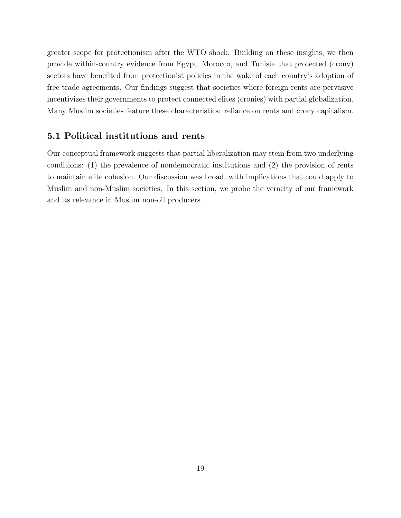greater scope for protectionism after the WTO shock. Building on these insights, we then provide within-country evidence from Egypt, Morocco, and Tunisia that protected (crony) sectors have benefited from protectionist policies in the wake of each country's adoption of free trade agreements. Our findings suggest that societies where foreign rents are pervasive incentivizes their governments to protect connected elites (cronies) with partial globalization. Many Muslim societies feature these characteristics: reliance on rents and crony capitalism.

#### 5.1 Political institutions and rents

Our conceptual framework suggests that partial liberalization may stem from two underlying conditions: (1) the prevalence of nondemocratic institutions and (2) the provision of rents to maintain elite cohesion. Our discussion was broad, with implications that could apply to Muslim and non-Muslim societies. In this section, we probe the veracity of our framework and its relevance in Muslim non-oil producers.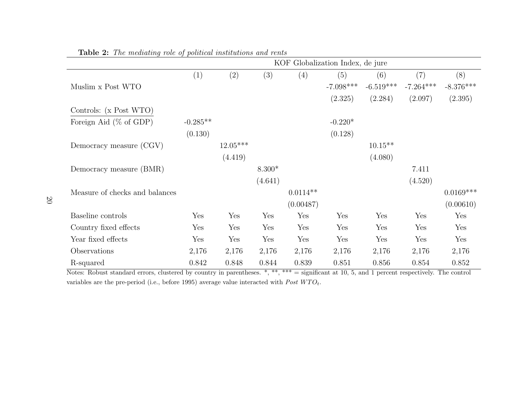|                                |            |            |          |            | KOF Globalization Index, de jure |             |             |             |
|--------------------------------|------------|------------|----------|------------|----------------------------------|-------------|-------------|-------------|
|                                | (1)        | (2)        | (3)      | (4)        | (5)                              | (6)         | (7)         | (8)         |
| Muslim x Post WTO              |            |            |          |            | $-7.098***$                      | $-6.519***$ | $-7.264***$ | $-8.376***$ |
|                                |            |            |          |            | (2.325)                          | (2.284)     | (2.097)     | (2.395)     |
| Controls: (x Post WTO)         |            |            |          |            |                                  |             |             |             |
| Foreign Aid $(\%$ of GDP)      | $-0.285**$ |            |          |            | $-0.220*$                        |             |             |             |
|                                | (0.130)    |            |          |            | (0.128)                          |             |             |             |
| Democracy measure (CGV)        |            | $12.05***$ |          |            |                                  | $10.15**$   |             |             |
|                                |            | (4.419)    |          |            |                                  | (4.080)     |             |             |
| Democracy measure (BMR)        |            |            | $8.300*$ |            |                                  |             | 7.411       |             |
|                                |            |            | (4.641)  |            |                                  |             | (4.520)     |             |
| Measure of checks and balances |            |            |          | $0.0114**$ |                                  |             |             | $0.0169***$ |
|                                |            |            |          | (0.00487)  |                                  |             |             | (0.00610)   |
| Baseline controls              | Yes        | Yes        | Yes      | Yes        | Yes                              | Yes         | Yes         | Yes         |
| Country fixed effects          | Yes        | Yes        | Yes      | Yes        | Yes                              | Yes         | Yes         | Yes         |
| Year fixed effects             | Yes        | Yes        | Yes      | Yes        | Yes                              | Yes         | Yes         | Yes         |
| Observations                   | 2,176      | 2,176      | 2,176    | 2,176      | 2,176                            | 2,176       | 2,176       | 2,176       |
| R-squared                      | 0.842      | 0.848      | 0.844    | 0.839      | 0.851                            | 0.856       | 0.854       | 0.852       |

**Table 2:** The mediating role of political institutions and rents

Notes: Robust standard errors, clustered by country in parentheses. \*, \*\*, \*\*\* = significant at 10, 5, and 1 percent respectively. The control variables are the pre-period (i.e., before 1995) average value interacted with  $Post~WTO_t$ .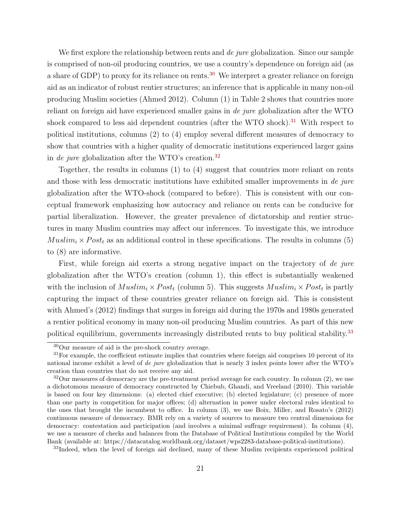We first explore the relationship between rents and *de jure* globalization. Since our sample is comprised of non-oil producing countries, we use a country's dependence on foreign aid (as a share of GDP) to proxy for its reliance on rents.<sup>[30](#page-0-0)</sup> We interpret a greater reliance on foreign aid as an indicator of robust rentier structures; an inference that is applicable in many non-oil producing Muslim societies (Ahmed 2012). Column (1) in Table 2 shows that countries more reliant on foreign aid have experienced smaller gains in de jure globalization after the WTO shock compared to less aid dependent countries (after the WTO shock).<sup>[31](#page-0-0)</sup> With respect to political institutions, columns (2) to (4) employ several different measures of democracy to show that countries with a higher quality of democratic institutions experienced larger gains in *de jure* globalization after the WTO's creation.<sup>[32](#page-0-0)</sup>

Together, the results in columns (1) to (4) suggest that countries more reliant on rents and those with less democratic institutions have exhibited smaller improvements in de jure globalization after the WTO-shock (compared to before). This is consistent with our conceptual framework emphasizing how autocracy and reliance on rents can be conducive for partial liberalization. However, the greater prevalence of dictatorship and rentier structures in many Muslim countries may affect our inferences. To investigate this, we introduce  $Muslim<sub>i</sub> \times Post<sub>t</sub>$  as an additional control in these specifications. The results in columns (5) to (8) are informative.

First, while foreign aid exerts a strong negative impact on the trajectory of de jure globalization after the WTO's creation (column 1), this effect is substantially weakened with the inclusion of  $Muslim_i \times Post_t$  (column 5). This suggests  $Muslim_i \times Post_t$  is partly capturing the impact of these countries greater reliance on foreign aid. This is consistent with Ahmed's (2012) findings that surges in foreign aid during the 1970s and 1980s generated a rentier political economy in many non-oil producing Muslim countries. As part of this new political equilibrium, governments increasingly distributed rents to buy political stability.<sup>[33](#page-0-0)</sup>

<sup>33</sup>Indeed, when the level of foreign aid declined, many of these Muslim recipients experienced political

<sup>30</sup>Our measure of aid is the pre-shock country average.

 $31$  For example, the coefficient estimate implies that countries where foreign aid comprises 10 percent of its national income exhibit a level of de jure globalization that is nearly 3 index points lower after the WTO's creation than countries that do not receive any aid.

 $32$ Our measures of democracy are the pre-treatment period average for each country. In column  $(2)$ , we use a dichotomous measure of democracy constructed by Chiebub, Ghandi, and Vreeland (2010). This variable is based on four key dimensions: (a) elected chief executive; (b) elected legislature; (c) presence of more than one party in competition for major offices; (d) alternation in power under electoral rules identical to the ones that brought the incumbent to office. In column (3), we use Boix, Miller, and Rosato's (2012) continuous measure of democracy. BMR rely on a variety of sources to measure two central dimensions for democracy: contestation and participation (and involves a minimal suffrage requirement). In column (4), we use a measure of checks and balances from the Database of Political Institutions compiled by the World Bank (available at: https://datacatalog.worldbank.org/dataset/wps2283-database-political-institutions).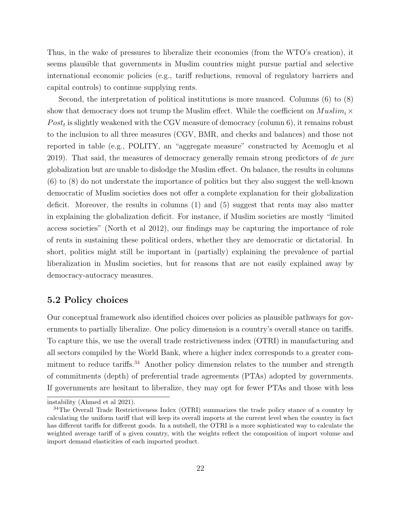Thus, in the wake of pressures to liberalize their economies (from the WTO's creation), it seems plausible that governments in Muslim countries might pursue partial and selective international economic policies (e.g., tariff reductions, removal of regulatory barriers and capital controls) to continue supplying rents.

Second, the interpretation of political institutions is more nuanced. Columns (6) to (8) show that democracy does not trump the Muslim effect. While the coefficient on  $Muslim_i \times$  $Post<sub>t</sub>$  is slightly weakened with the CGV measure of democracy (column 6), it remains robust to the inclusion to all three measures (CGV, BMR, and checks and balances) and those not reported in table (e.g., POLITY, an "aggregate measure" constructed by Acemoglu et al 2019). That said, the measures of democracy generally remain strong predictors of de jure globalization but are unable to dislodge the Muslim effect. On balance, the results in columns (6) to (8) do not understate the importance of politics but they also suggest the well-known democratic of Muslim societies does not offer a complete explanation for their globalization deficit. Moreover, the results in columns (1) and (5) suggest that rents may also matter in explaining the globalization deficit. For instance, if Muslim societies are mostly "limited access societies" (North et al 2012), our findings may be capturing the importance of role of rents in sustaining these political orders, whether they are democratic or dictatorial. In short, politics might still be important in (partially) explaining the prevalence of partial liberalization in Muslim societies, but for reasons that are not easily explained away by democracy-autocracy measures.

#### 5.2 Policy choices

Our conceptual framework also identified choices over policies as plausible pathways for governments to partially liberalize. One policy dimension is a country's overall stance on tariffs. To capture this, we use the overall trade restrictiveness index (OTRI) in manufacturing and all sectors compiled by the World Bank, where a higher index corresponds to a greater com-mitment to reduce tariffs.<sup>[34](#page-0-0)</sup> Another policy dimension relates to the number and strength of commitments (depth) of preferential trade agreements (PTAs) adopted by governments. If governments are hesitant to liberalize, they may opt for fewer PTAs and those with less

instability (Ahmed et al 2021).

<sup>&</sup>lt;sup>34</sup>The Overall Trade Restrictiveness Index (OTRI) summarizes the trade policy stance of a country by calculating the uniform tariff that will keep its overall imports at the current level when the country in fact has different tariffs for different goods. In a nutshell, the OTRI is a more sophisticated way to calculate the weighted average tariff of a given country, with the weights reflect the composition of import volume and import demand elasticities of each imported product.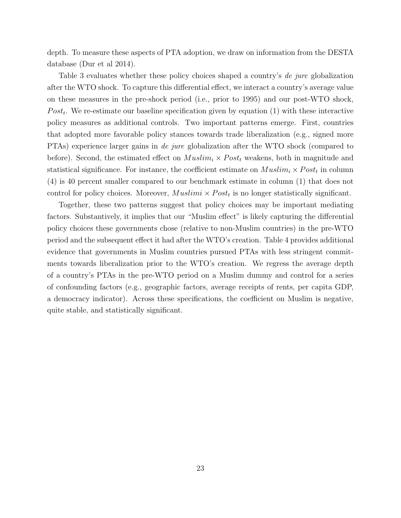depth. To measure these aspects of PTA adoption, we draw on information from the DESTA database (Dur et al 2014).

Table 3 evaluates whether these policy choices shaped a country's *de jure* globalization after the WTO shock. To capture this differential effect, we interact a country's average value on these measures in the pre-shock period (i.e., prior to 1995) and our post-WTO shock, Post<sub>t</sub>. We re-estimate our baseline specification given by equation (1) with these interactive policy measures as additional controls. Two important patterns emerge. First, countries that adopted more favorable policy stances towards trade liberalization (e.g., signed more PTAs) experience larger gains in *de jure* globalization after the WTO shock (compared to before). Second, the estimated effect on  $Muslim_i \times Post_t$  weakens, both in magnitude and statistical significance. For instance, the coefficient estimate on  $Muslim_i \times Post_t$  in column (4) is 40 percent smaller compared to our benchmark estimate in column (1) that does not control for policy choices. Moreover,  $Muslimi \times Post_t$  is no longer statistically significant.

Together, these two patterns suggest that policy choices may be important mediating factors. Substantively, it implies that our "Muslim effect" is likely capturing the differential policy choices these governments chose (relative to non-Muslim countries) in the pre-WTO period and the subsequent effect it had after the WTO's creation. Table 4 provides additional evidence that governments in Muslim countries pursued PTAs with less stringent commitments towards liberalization prior to the WTO's creation. We regress the average depth of a country's PTAs in the pre-WTO period on a Muslim dummy and control for a series of confounding factors (e.g., geographic factors, average receipts of rents, per capita GDP, a democracy indicator). Across these specifications, the coefficient on Muslim is negative, quite stable, and statistically significant.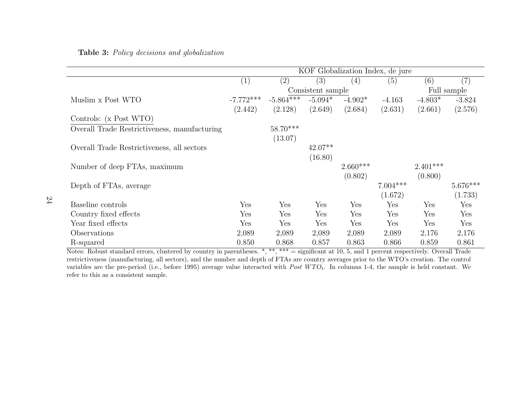24

|                                                                     |             |                                                                              |                   | KOF Globalization Index, de jure |            |            |                   |
|---------------------------------------------------------------------|-------------|------------------------------------------------------------------------------|-------------------|----------------------------------|------------|------------|-------------------|
|                                                                     | (1)         | (2)                                                                          | (3)               | (4)                              | (5)        | (6)        | $\left( 7\right)$ |
|                                                                     |             |                                                                              | Consistent sample |                                  |            |            | Full sample       |
| Muslim x Post WTO                                                   | $-7.772***$ | $-5.864***$                                                                  | $-5.094*$         | $-4.902*$                        | $-4.163$   | $-4.803*$  | $-3.824$          |
|                                                                     | (2.442)     | (2.128)                                                                      | (2.649)           | (2.684)                          | (2.631)    | (2.661)    | (2.576)           |
| Controls: (x Post WTO)                                              |             |                                                                              |                   |                                  |            |            |                   |
| Overall Trade Restrictiveness, manufacturing                        |             | $58.70***$                                                                   |                   |                                  |            |            |                   |
|                                                                     |             | (13.07)                                                                      |                   |                                  |            |            |                   |
| Overall Trade Restrictiveness, all sectors                          |             |                                                                              | $42.07**$         |                                  |            |            |                   |
|                                                                     |             |                                                                              | (16.80)           |                                  |            |            |                   |
| Number of deep FTAs, maximum                                        |             |                                                                              |                   | $2.660***$                       |            | $2.401***$ |                   |
|                                                                     |             |                                                                              |                   | (0.802)                          |            | (0.800)    |                   |
| Depth of FTAs, average                                              |             |                                                                              |                   |                                  | $7.004***$ |            | $5.676***$        |
|                                                                     |             |                                                                              |                   |                                  | (1.672)    |            | (1.733)           |
| Baseline controls                                                   | Yes         | Yes                                                                          | Yes               | Yes                              | Yes        | Yes        | Yes               |
| Country fixed effects                                               | Yes         | Yes                                                                          | Yes               | Yes                              | Yes        | Yes        | Yes               |
| Year fixed effects                                                  | Yes         | Yes                                                                          | Yes               | Yes                              | Yes        | Yes        | Yes               |
| Observations                                                        | 2,089       | 2,089                                                                        | 2,089             | 2,089                            | 2,089      | 2,176      | 2,176             |
| R-squared                                                           | 0.850       | 0.868                                                                        | 0.857             | 0.863                            | 0.866      | 0.859      | 0.861             |
| Notes: Robust standard errors, clustered by country in parentheses. |             | *, **, *** = significant at 10, 5, and 1 percent respectively. Overall Trade |                   |                                  |            |            |                   |

 restrictiveness (manufacturing, all sectors), and the number and depth of FTAs are country averages prior to the WTO's creation. The controlvariables are the pre-period (i.e., before 1995) average value interacted with  $Post WTO_t$ . In columns 1-4, the sample is held constant. We refer to this as <sup>a</sup> consistent sample.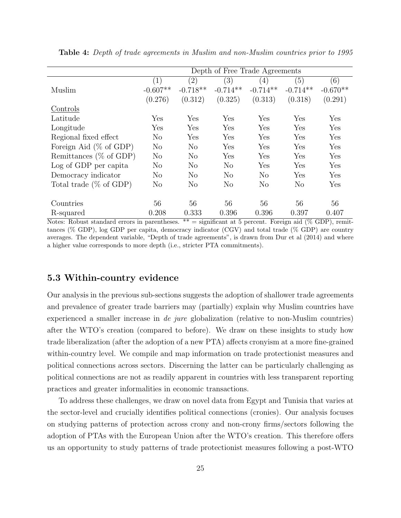|                            |                  |                   | Depth of Free Trade Agreements |            |                |            |
|----------------------------|------------------|-------------------|--------------------------------|------------|----------------|------------|
|                            | $\left(1\right)$ | $\left( 2\right)$ | (3)                            | (4)        | (5)            | (6)        |
| Muslim                     | $-0.607**$       | $-0.718**$        | $-0.714**$                     | $-0.714**$ | $-0.714**$     | $-0.670**$ |
|                            | (0.276)          | (0.312)           | (0.325)                        | (0.313)    | (0.318)        | (0.291)    |
| Controls                   |                  |                   |                                |            |                |            |
| Latitude                   | Yes              | Yes               | Yes                            | Yes        | Yes            | Yes        |
| Longitude                  | Yes              | Yes               | Yes                            | Yes        | Yes            | Yes        |
| Regional fixed effect      | N <sub>o</sub>   | Yes               | Yes                            | Yes        | Yes            | Yes        |
| Foreign Aid $(\%$ of GDP)  | $\rm No$         | $\rm No$          | Yes                            | Yes        | Yes            | Yes        |
| Remittances ( $\%$ of GDP) | N <sub>o</sub>   | $\rm No$          | Yes                            | Yes        | Yes            | Yes        |
| Log of GDP per capita      | N <sub>o</sub>   | $\rm No$          | $\rm No$                       | Yes        | Yes            | Yes        |
| Democracy indicator        | $\rm No$         | N <sub>o</sub>    | No                             | $\rm No$   | Yes            | Yes        |
| Total trade $(\%$ of GDP)  | N <sub>o</sub>   | $\rm No$          | $\rm No$                       | $\rm No$   | N <sub>o</sub> | Yes        |
|                            |                  |                   |                                |            |                |            |
| Countries                  | 56               | 56                | 56                             | 56         | 56             | 56         |
| R-squared                  | 0.208            | 0.333             | 0.396                          | 0.396      | 0.397          | 0.407      |

Table 4: Depth of trade agreements in Muslim and non-Muslim countries prior to 1995

Notes: Robust standard errors in parentheses.  $** =$  significant at 5 percent. Foreign aid (% GDP), remittances (% GDP), log GDP per capita, democracy indicator (CGV) and total trade (% GDP) are country averages. The dependent variable, "Depth of trade agreements", is drawn from Dur et al (2014) and where a higher value corresponds to more depth (i.e., stricter PTA commitments).

#### 5.3 Within-country evidence

Our analysis in the previous sub-sections suggests the adoption of shallower trade agreements and prevalence of greater trade barriers may (partially) explain why Muslim countries have experienced a smaller increase in de jure globalization (relative to non-Muslim countries) after the WTO's creation (compared to before). We draw on these insights to study how trade liberalization (after the adoption of a new PTA) affects cronyism at a more fine-grained within-country level. We compile and map information on trade protectionist measures and political connections across sectors. Discerning the latter can be particularly challenging as political connections are not as readily apparent in countries with less transparent reporting practices and greater informalities in economic transactions.

To address these challenges, we draw on novel data from Egypt and Tunisia that varies at the sector-level and crucially identifies political connections (cronies). Our analysis focuses on studying patterns of protection across crony and non-crony firms/sectors following the adoption of PTAs with the European Union after the WTO's creation. This therefore offers us an opportunity to study patterns of trade protectionist measures following a post-WTO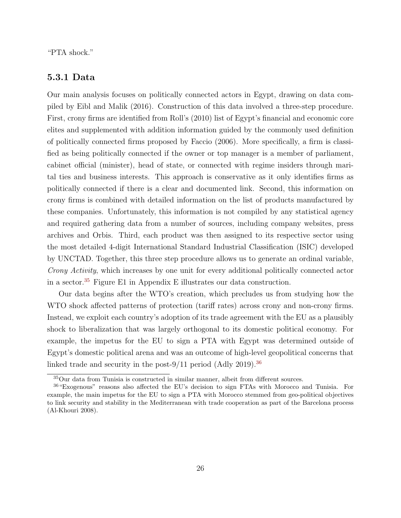"PTA shock."

#### 5.3.1 Data

Our main analysis focuses on politically connected actors in Egypt, drawing on data compiled by Eibl and Malik (2016). Construction of this data involved a three-step procedure. First, crony firms are identified from Roll's (2010) list of Egypt's financial and economic core elites and supplemented with addition information guided by the commonly used definition of politically connected firms proposed by Faccio (2006). More specifically, a firm is classified as being politically connected if the owner or top manager is a member of parliament, cabinet official (minister), head of state, or connected with regime insiders through marital ties and business interests. This approach is conservative as it only identifies firms as politically connected if there is a clear and documented link. Second, this information on crony firms is combined with detailed information on the list of products manufactured by these companies. Unfortunately, this information is not compiled by any statistical agency and required gathering data from a number of sources, including company websites, press archives and Orbis. Third, each product was then assigned to its respective sector using the most detailed 4-digit International Standard Industrial Classification (ISIC) developed by UNCTAD. Together, this three step procedure allows us to generate an ordinal variable, Crony Activity, which increases by one unit for every additional politically connected actor in a sector.[35](#page-0-0) Figure E1 in Appendix E illustrates our data construction.

Our data begins after the WTO's creation, which precludes us from studying how the WTO shock affected patterns of protection (tariff rates) across crony and non-crony firms. Instead, we exploit each country's adoption of its trade agreement with the EU as a plausibly shock to liberalization that was largely orthogonal to its domestic political economy. For example, the impetus for the EU to sign a PTA with Egypt was determined outside of Egypt's domestic political arena and was an outcome of high-level geopolitical concerns that linked trade and security in the post-9/11 period (Adly 2019).<sup>[36](#page-0-0)</sup>

<sup>35</sup>Our data from Tunisia is constructed in similar manner, albeit from different sources.

<sup>36</sup>"Exogenous" reasons also affected the EU's decision to sign FTAs with Morocco and Tunisia. For example, the main impetus for the EU to sign a PTA with Morocco stemmed from geo-political objectives to link security and stability in the Mediterranean with trade cooperation as part of the Barcelona process (Al-Khouri 2008).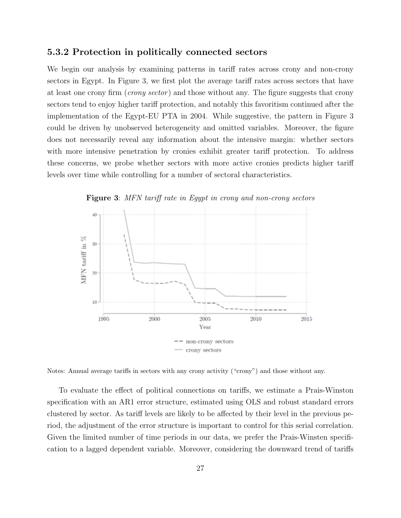#### 5.3.2 Protection in politically connected sectors

We begin our analysis by examining patterns in tariff rates across crony and non-crony sectors in Egypt. In Figure 3, we first plot the average tariff rates across sectors that have at least one crony firm (*crony sector*) and those without any. The figure suggests that crony sectors tend to enjoy higher tariff protection, and notably this favoritism continued after the implementation of the Egypt-EU PTA in 2004. While suggestive, the pattern in Figure 3 could be driven by unobserved heterogeneity and omitted variables. Moreover, the figure does not necessarily reveal any information about the intensive margin: whether sectors with more intensive penetration by cronies exhibit greater tariff protection. To address these concerns, we probe whether sectors with more active cronies predicts higher tariff levels over time while controlling for a number of sectoral characteristics.



Figure 3: MFN tariff rate in Egypt in crony and non-crony sectors

Notes: Annual average tariffs in sectors with any crony activity ("crony") and those without any.

To evaluate the effect of political connections on tariffs, we estimate a Prais-Winston specification with an AR1 error structure, estimated using OLS and robust standard errors clustered by sector. As tariff levels are likely to be affected by their level in the previous period, the adjustment of the error structure is important to control for this serial correlation. Given the limited number of time periods in our data, we prefer the Prais-Winsten specification to a lagged dependent variable. Moreover, considering the downward trend of tariffs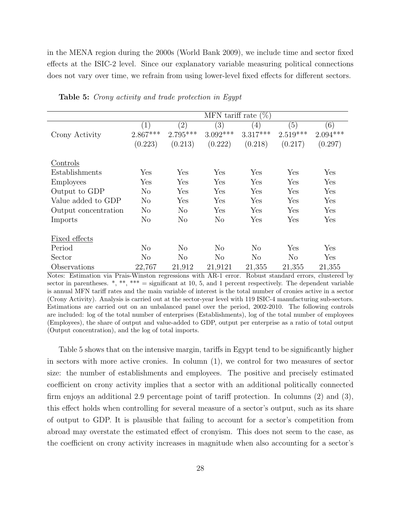in the MENA region during the 2000s (World Bank 2009), we include time and sector fixed effects at the ISIC-2 level. Since our explanatory variable measuring political connections does not vary over time, we refrain from using lower-level fixed effects for different sectors.

|                      |                |                   | MFN tariff rate $(\%)$ |                      |                |            |
|----------------------|----------------|-------------------|------------------------|----------------------|----------------|------------|
|                      | (1)            | $\left( 2\right)$ | (3)                    | (4)                  | (5)            | (6)        |
| Crony Activity       | $2.867***$     | $2.795***$        | $3.092***$             | $3.317***$           | $2.519***$     | $2.094***$ |
|                      | (0.223)        | (0.213)           | (0.222)                | (0.218)              | (0.217)        | (0.297)    |
|                      |                |                   |                        |                      |                |            |
| Controls             |                |                   |                        |                      |                |            |
| Establishments       | ${\rm Yes}$    | Yes               | Yes                    | $\operatorname{Yes}$ | Yes            | Yes        |
| <b>Employees</b>     | Yes            | Yes               | Yes                    | Yes                  | Yes            | Yes        |
| Output to GDP        | N <sub>o</sub> | ${\rm Yes}$       | Yes                    | Yes                  | Yes            | Yes        |
| Value added to GDP   | $\rm No$       | Yes               | Yes                    | Yes                  | Yes            | Yes        |
| Output concentration | $\rm No$       | N <sub>o</sub>    | Yes                    | Yes                  | Yes            | Yes        |
| Imports              | $\rm No$       | $\rm No$          | N <sub>o</sub>         | Yes                  | Yes            | Yes        |
|                      |                |                   |                        |                      |                |            |
| Fixed effects        |                |                   |                        |                      |                |            |
| Period               | N <sub>o</sub> | N <sub>o</sub>    | No                     | N <sub>o</sub>       | Yes            | Yes        |
| Sector               | N <sub>o</sub> | $\rm No$          | No                     | N <sub>o</sub>       | N <sub>o</sub> | Yes        |
| Observations         | 22,767         | 21,912            | 21,9121                | 21,355               | 21,355         | 21,355     |

Table 5: Crony activity and trade protection in Egypt

Notes: Estimation via Prais-Winston regressions with AR-1 error. Robust standard errors, clustered by sector in parentheses.  $*, **$ ,  $***$  = significant at 10, 5, and 1 percent respectively. The dependent variable is annual MFN tariff rates and the main variable of interest is the total number of cronies active in a sector (Crony Activity). Analysis is carried out at the sector-year level with 119 ISIC-4 manufacturing sub-sectors. Estimations are carried out on an unbalanced panel over the period, 2002-2010. The following controls are included: log of the total number of enterprises (Establishments), log of the total number of employees (Employees), the share of output and value-added to GDP, output per enterprise as a ratio of total output (Output concentration), and the log of total imports.

Table 5 shows that on the intensive margin, tariffs in Egypt tend to be significantly higher in sectors with more active cronies. In column (1), we control for two measures of sector size: the number of establishments and employees. The positive and precisely estimated coefficient on crony activity implies that a sector with an additional politically connected firm enjoys an additional 2.9 percentage point of tariff protection. In columns (2) and (3), this effect holds when controlling for several measure of a sector's output, such as its share of output to GDP. It is plausible that failing to account for a sector's competition from abroad may overstate the estimated effect of cronyism. This does not seem to the case, as the coefficient on crony activity increases in magnitude when also accounting for a sector's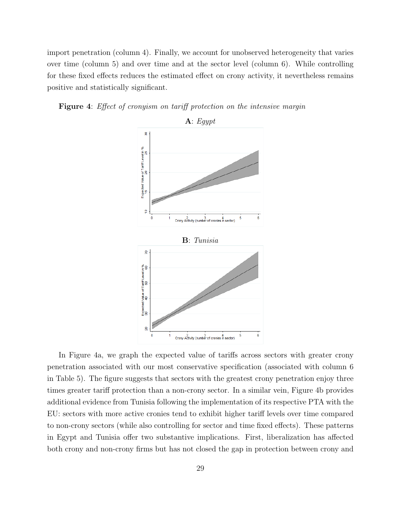import penetration (column 4). Finally, we account for unobserved heterogeneity that varies over time (column 5) and over time and at the sector level (column 6). While controlling for these fixed effects reduces the estimated effect on crony activity, it nevertheless remains positive and statistically significant.





In Figure 4a, we graph the expected value of tariffs across sectors with greater crony penetration associated with our most conservative specification (associated with column 6 in Table 5). The figure suggests that sectors with the greatest crony penetration enjoy three times greater tariff protection than a non-crony sector. In a similar vein, Figure 4b provides additional evidence from Tunisia following the implementation of its respective PTA with the EU: sectors with more active cronies tend to exhibit higher tariff levels over time compared to non-crony sectors (while also controlling for sector and time fixed effects). These patterns in Egypt and Tunisia offer two substantive implications. First, liberalization has affected both crony and non-crony firms but has not closed the gap in protection between crony and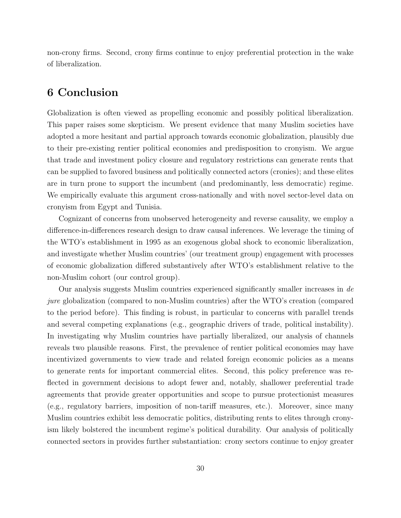non-crony firms. Second, crony firms continue to enjoy preferential protection in the wake of liberalization.

## 6 Conclusion

Globalization is often viewed as propelling economic and possibly political liberalization. This paper raises some skepticism. We present evidence that many Muslim societies have adopted a more hesitant and partial approach towards economic globalization, plausibly due to their pre-existing rentier political economies and predisposition to cronyism. We argue that trade and investment policy closure and regulatory restrictions can generate rents that can be supplied to favored business and politically connected actors (cronies); and these elites are in turn prone to support the incumbent (and predominantly, less democratic) regime. We empirically evaluate this argument cross-nationally and with novel sector-level data on cronyism from Egypt and Tunisia.

Cognizant of concerns from unobserved heterogeneity and reverse causality, we employ a difference-in-differences research design to draw causal inferences. We leverage the timing of the WTO's establishment in 1995 as an exogenous global shock to economic liberalization, and investigate whether Muslim countries' (our treatment group) engagement with processes of economic globalization differed substantively after WTO's establishment relative to the non-Muslim cohort (our control group).

Our analysis suggests Muslim countries experienced significantly smaller increases in  $de$ jure globalization (compared to non-Muslim countries) after the WTO's creation (compared to the period before). This finding is robust, in particular to concerns with parallel trends and several competing explanations (e.g., geographic drivers of trade, political instability). In investigating why Muslim countries have partially liberalized, our analysis of channels reveals two plausible reasons. First, the prevalence of rentier political economies may have incentivized governments to view trade and related foreign economic policies as a means to generate rents for important commercial elites. Second, this policy preference was reflected in government decisions to adopt fewer and, notably, shallower preferential trade agreements that provide greater opportunities and scope to pursue protectionist measures (e.g., regulatory barriers, imposition of non-tariff measures, etc.). Moreover, since many Muslim countries exhibit less democratic politics, distributing rents to elites through cronyism likely bolstered the incumbent regime's political durability. Our analysis of politically connected sectors in provides further substantiation: crony sectors continue to enjoy greater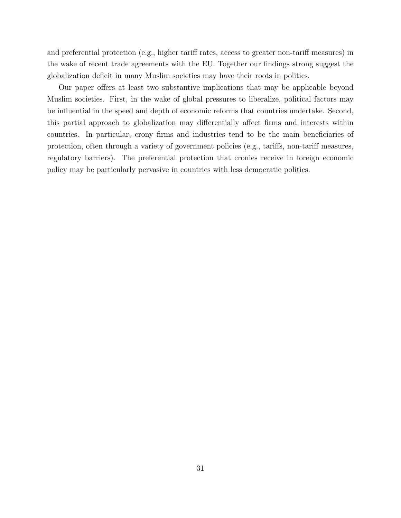and preferential protection (e.g., higher tariff rates, access to greater non-tariff measures) in the wake of recent trade agreements with the EU. Together our findings strong suggest the globalization deficit in many Muslim societies may have their roots in politics.

Our paper offers at least two substantive implications that may be applicable beyond Muslim societies. First, in the wake of global pressures to liberalize, political factors may be influential in the speed and depth of economic reforms that countries undertake. Second, this partial approach to globalization may differentially affect firms and interests within countries. In particular, crony firms and industries tend to be the main beneficiaries of protection, often through a variety of government policies (e.g., tariffs, non-tariff measures, regulatory barriers). The preferential protection that cronies receive in foreign economic policy may be particularly pervasive in countries with less democratic politics.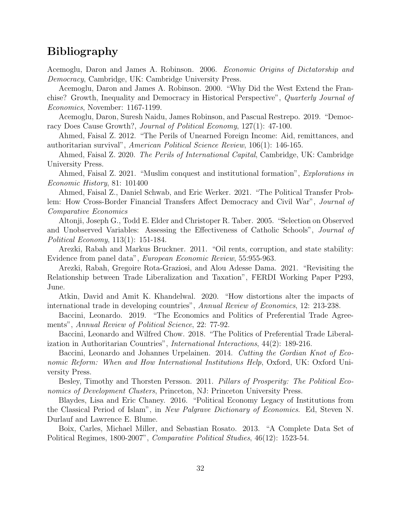## Bibliography

Acemoglu, Daron and James A. Robinson. 2006. Economic Origins of Dictatorship and Democracy, Cambridge, UK: Cambridge University Press.

Acemoglu, Daron and James A. Robinson. 2000. "Why Did the West Extend the Franchise? Growth, Inequality and Democracy in Historical Perspective", Quarterly Journal of Economics, November: 1167-1199.

Acemoglu, Daron, Suresh Naidu, James Robinson, and Pascual Restrepo. 2019. "Democracy Does Cause Growth?, Journal of Political Economy, 127(1): 47-100.

Ahmed, Faisal Z. 2012. "The Perils of Unearned Foreign Income: Aid, remittances, and authoritarian survival", American Political Science Review, 106(1): 146-165.

Ahmed, Faisal Z. 2020. The Perils of International Capital, Cambridge, UK: Cambridge University Press.

Ahmed, Faisal Z. 2021. "Muslim conquest and institutional formation", Explorations in Economic History, 81: 101400

Ahmed, Faisal Z., Daniel Schwab, and Eric Werker. 2021. "The Political Transfer Problem: How Cross-Border Financial Transfers Affect Democracy and Civil War", Journal of Comparative Economics

Altonji, Joseph G., Todd E. Elder and Christoper R. Taber. 2005. "Selection on Observed and Unobserved Variables: Assessing the Effectiveness of Catholic Schools", Journal of Political Economy, 113(1): 151-184.

Arezki, Rabah and Markus Bruckner. 2011. "Oil rents, corruption, and state stability: Evidence from panel data", European Economic Review, 55:955-963.

Arezki, Rabah, Gregoire Rota-Graziosi, and Alou Adesse Dama. 2021. "Revisiting the Relationship between Trade Liberalization and Taxation", FERDI Working Paper P293, June.

Atkin, David and Amit K. Khandelwal. 2020. "How distortions alter the impacts of international trade in developing countries", Annual Review of Economics, 12: 213-238.

Baccini, Leonardo. 2019. "The Economics and Politics of Preferential Trade Agreements", Annual Review of Political Science, 22: 77-92.

Baccini, Leonardo and Wilfred Chow. 2018. "The Politics of Preferential Trade Liberalization in Authoritarian Countries", International Interactions, 44(2): 189-216.

Baccini, Leonardo and Johannes Urpelainen. 2014. Cutting the Gordian Knot of Economic Reform: When and How International Institutions Help, Oxford, UK: Oxford University Press.

Besley, Timothy and Thorsten Persson. 2011. Pillars of Prosperity: The Political Economics of Development Clusters, Princeton, NJ: Princeton University Press.

Blaydes, Lisa and Eric Chaney. 2016. "Political Economy Legacy of Institutions from the Classical Period of Islam", in New Palgrave Dictionary of Economics. Ed, Steven N. Durlauf and Lawrence E. Blume.

Boix, Carles, Michael Miller, and Sebastian Rosato. 2013. "A Complete Data Set of Political Regimes, 1800-2007", Comparative Political Studies, 46(12): 1523-54.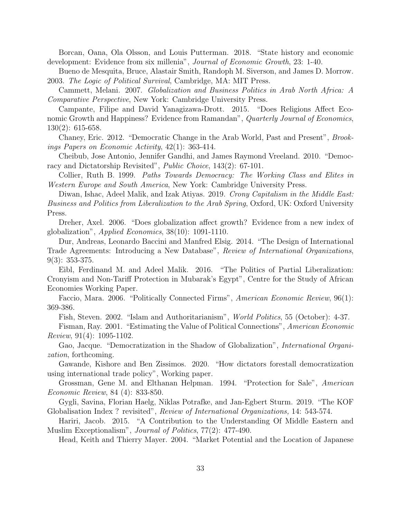Borcan, Oana, Ola Olsson, and Louis Putterman. 2018. "State history and economic development: Evidence from six millenia", Journal of Economic Growth, 23: 1-40.

Bueno de Mesquita, Bruce, Alastair Smith, Randoph M. Siverson, and James D. Morrow. 2003. The Logic of Political Survival, Cambridge, MA: MIT Press.

Cammett, Melani. 2007. Globalization and Business Politics in Arab North Africa: A Comparative Perspective, New York: Cambridge University Press.

Campante, Filipe and David Yanagizawa-Drott. 2015. "Does Religions Affect Economic Growth and Happiness? Evidence from Ramandan", *Quarterly Journal of Economics*, 130(2): 615-658.

Chaney, Eric. 2012. "Democratic Change in the Arab World, Past and Present", Brookings Papers on Economic Activity, 42(1): 363-414.

Cheibub, Jose Antonio, Jennifer Gandhi, and James Raymond Vreeland. 2010. "Democracy and Dictatorship Revisited", Public Choice, 143(2): 67-101.

Collier, Ruth B. 1999. Paths Towards Democracy: The Working Class and Elites in Western Europe and South America, New York: Cambridge University Press.

Diwan, Ishac, Adeel Malik, and Izak Atiyas. 2019. Crony Capitalism in the Middle East: Business and Politics from Liberalization to the Arab Spring, Oxford, UK: Oxford University Press.

Dreher, Axel. 2006. "Does globalization affect growth? Evidence from a new index of globalization", Applied Economics, 38(10): 1091-1110.

Dur, Andreas, Leonardo Baccini and Manfred Elsig. 2014. "The Design of International Trade Agreements: Introducing a New Database", Review of International Organizations, 9(3): 353-375.

Eibl, Ferdinand M. and Adeel Malik. 2016. "The Politics of Partial Liberalization: Cronyism and Non-Tariff Protection in Mubarak's Egypt", Centre for the Study of African Economies Working Paper.

Faccio, Mara. 2006. "Politically Connected Firms", American Economic Review, 96(1): 369-386.

Fish, Steven. 2002. "Islam and Authoritarianism", World Politics, 55 (October): 4-37.

Fisman, Ray. 2001. "Estimating the Value of Political Connections", American Economic Review, 91(4): 1095-1102.

Gao, Jacque. "Democratization in the Shadow of Globalization", *International Organi*zation, forthcoming.

Gawande, Kishore and Ben Zissimos. 2020. "How dictators forestall democratization using international trade policy", Working paper.

Grossman, Gene M. and Elthanan Helpman. 1994. "Protection for Sale", American Economic Review, 84 (4): 833-850.

Gygli, Savina, Florian Haelg, Niklas Potrafke, and Jan-Egbert Sturm. 2019. "The KOF Globalisation Index ? revisited", Review of International Organizations, 14: 543-574.

Hariri, Jacob. 2015. "A Contribution to the Understanding Of Middle Eastern and Muslim Exceptionalism", Journal of Politics, 77(2): 477-490.

Head, Keith and Thierry Mayer. 2004. "Market Potential and the Location of Japanese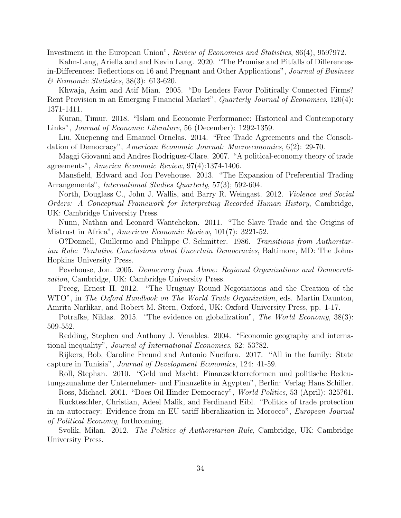Investment in the European Union", Review of Economics and Statistics, 86(4), 959?972.

Kahn-Lang, Ariella and and Kevin Lang. 2020. "The Promise and Pitfalls of Differencesin-Differences: Reflections on 16 and Pregnant and Other Applications", Journal of Business & Economic Statistics, 38(3): 613-620.

Khwaja, Asim and Atif Mian. 2005. "Do Lenders Favor Politically Connected Firms? Rent Provision in an Emerging Financial Market", Quarterly Journal of Economics, 120(4): 1371-1411.

Kuran, Timur. 2018. "Islam and Economic Performance: Historical and Contemporary Links", Journal of Economic Literature, 56 (December): 1292-1359.

Liu, Xuepenng and Emanuel Ornelas. 2014. "Free Trade Agreements and the Consolidation of Democracy", American Economic Journal: Macroeconomics, 6(2): 29-70.

Maggi Giovanni and Andres Rodriguez-Clare. 2007. "A political-economy theory of trade agreements", America Economic Review, 97(4):1374-1406.

Mansfield, Edward and Jon Pevehouse. 2013. "The Expansion of Preferential Trading Arrangements", International Studies Quarterly, 57(3); 592-604.

North, Douglass C., John J. Wallis, and Barry R. Weingast. 2012. *Violence and Social* Orders: A Conceptual Framework for Interpreting Recorded Human History, Cambridge, UK: Cambridge University Press.

Nunn, Nathan and Leonard Wantchekon. 2011. "The Slave Trade and the Origins of Mistrust in Africa", American Economic Review, 101(7): 3221-52.

O?Donnell, Guillermo and Philippe C. Schmitter. 1986. Transitions from Authoritarian Rule: Tentative Conclusions about Uncertain Democracies, Baltimore, MD: The Johns Hopkins University Press.

Pevehouse, Jon. 2005. Democracy from Above: Regional Organizations and Democratization, Cambridge, UK: Cambridge University Press.

Preeg, Ernest H. 2012. "The Uruguay Round Negotiations and the Creation of the WTO", in The Oxford Handbook on The World Trade Organization, eds. Martin Daunton, Amrita Narlikar, and Robert M. Stern, Oxford, UK: Oxford University Press, pp. 1-17.

Potrafke, Niklas. 2015. "The evidence on globalization", The World Economy, 38(3): 509-552.

Redding, Stephen and Anthony J. Venables. 2004. "Economic geography and international inequality", Journal of International Economics, 62: 53?82.

Rijkers, Bob, Caroline Freund and Antonio Nucifora. 2017. "All in the family: State capture in Tunisia", Journal of Development Economics, 124: 41-59.

Roll, Stephan. 2010. "Geld und Macht: Finanzsektorreformen und politische Bedeutungszunahme der Unternehmer- und Finanzelite in Agypten", Berlin: Verlag Hans Schiller.

Ross, Michael. 2001. "Does Oil Hinder Democracy", World Politics, 53 (April): 325?61.

Ruckteschler, Christian, Adeel Malik, and Ferdinand Eibl. "Politics of trade protection in an autocracy: Evidence from an EU tariff liberalization in Morocco", European Journal of Political Economy, forthcoming.

Svolik, Milan. 2012. The Politics of Authoritarian Rule, Cambridge, UK: Cambridge University Press.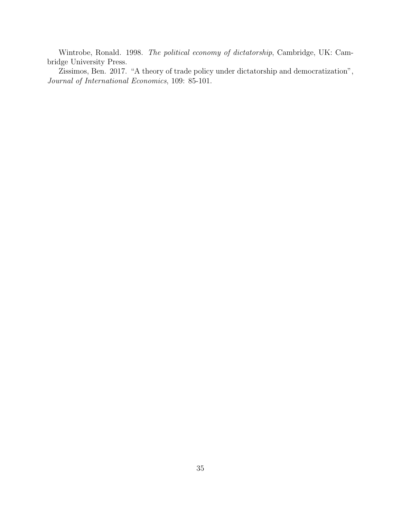Wintrobe, Ronald. 1998. The political economy of dictatorship, Cambridge, UK: Cambridge University Press.

Zissimos, Ben. 2017. "A theory of trade policy under dictatorship and democratization", Journal of International Economics, 109: 85-101.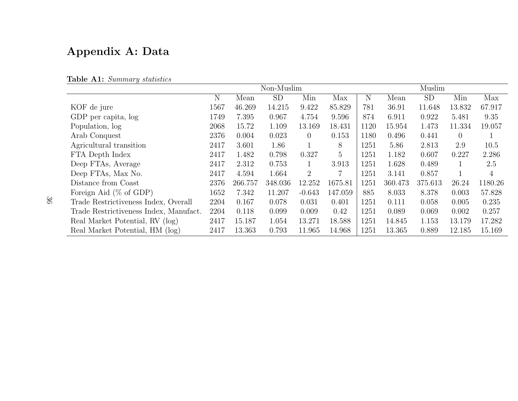# Appendix A: Data

|                                        |             |         | Non-Muslim |                |                |      |         | Muslim    |                |                |
|----------------------------------------|-------------|---------|------------|----------------|----------------|------|---------|-----------|----------------|----------------|
|                                        | $\mathbf N$ | Mean    | <b>SD</b>  | Min            | Max            | N    | Mean    | <b>SD</b> | Min            | Max            |
| KOF de jure                            | 1567        | 46.269  | 14.215     | 9.422          | 85.829         | 781  | 36.91   | 11.648    | 13.832         | 67.917         |
| GDP per capita, log                    | 1749        | 7.395   | 0.967      | 4.754          | 9.596          | 874  | 6.911   | 0.922     | 5.481          | 9.35           |
| Population, log                        | 2068        | 15.72   | 1.109      | 13.169         | 18.431         | 1120 | 15.954  | 1.473     | 11.334         | 19.057         |
| Arab Conquest                          | 2376        | 0.004   | 0.023      | $\overline{0}$ | 0.153          | 1180 | 0.496   | 0.441     | $\overline{0}$ |                |
| Agricultural transition                | 2417        | 3.601   | 1.86       | 1              | 8              | 1251 | 5.86    | 2.813     | 2.9            | 10.5           |
| FTA Depth Index                        | 2417        | 1.482   | 0.798      | 0.327          | $\overline{5}$ | 1251 | 1.182   | 0.607     | 0.227          | 2.286          |
| Deep FTAs, Average                     | 2417        | 2.312   | 0.753      | $\mathbf{1}$   | 3.913          | 1251 | 1.628   | 0.489     |                | 2.5            |
| Deep FTAs, Max No.                     | 2417        | 4.594   | 1.664      | $\overline{2}$ |                | 1251 | 3.141   | 0.857     |                | $\overline{4}$ |
| Distance from Coast                    | 2376        | 266.757 | 348.036    | 12.252         | 1675.81        | 1251 | 360.473 | 375.613   | 26.24          | 1180.26        |
| Foreign Aid $(\%$ of GDP)              | 1652        | 7.342   | 11.207     | $-0.643$       | 147.059        | 885  | 8.033   | 8.378     | 0.003          | 57.828         |
| Trade Restrictiveness Index, Overall   | 2204        | 0.167   | 0.078      | 0.031          | 0.401          | 1251 | 0.111   | 0.058     | 0.005          | 0.235          |
| Trade Restrictiveness Index, Manufact. | 2204        | 0.118   | 0.099      | 0.009          | 0.42           | 1251 | 0.089   | 0.069     | 0.002          | 0.257          |
| Real Market Potential, RV (log)        | 2417        | 15.187  | 1.054      | 13.271         | 18.588         | 1251 | 14.845  | 1.153     | 13.179         | 17.282         |
| Real Market Potential, HM (log)        | 2417        | 13.363  | 0.793      | 11.965         | 14.968         | 1251 | 13.365  | 0.889     | 12.185         | 15.169         |

#### **Table A1:** Summary statistics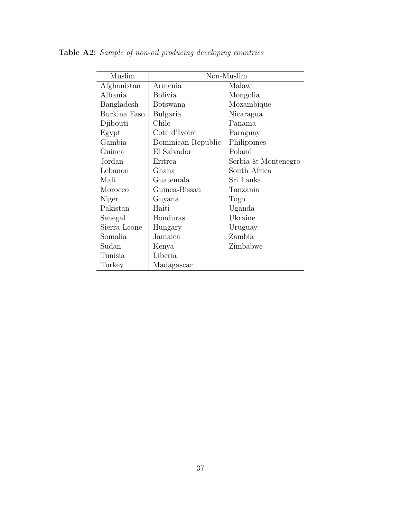| Muslim       |                    | Non-Muslim          |
|--------------|--------------------|---------------------|
| Afghanistan  | Armenia            | Malawi              |
| Albania      | Bolivia            | Mongolia            |
| Bangladesh   | Botswana           | Mozambique          |
| Burkina Faso | Bulgaria           | Nicaragua           |
| Djibouti     | Chile              | Panama              |
| Egypt        | Cote d'Ivoire      | Paraguay            |
| Gambia       | Dominican Republic | Philippines         |
| Guinea       | El Salvador        | Poland              |
| Jordan       | Eritrea            | Serbia & Montenegro |
| Lebanon      | Ghana              | South Africa        |
| Mali         | Guatemala          | Sri Lanka           |
| Morocco      | Guinea-Bissau      | Tanzania            |
| Niger        | Guyana             | Togo                |
| Pakistan     | Haiti              | Uganda              |
| Senegal      | Honduras           | Ukraine             |
| Sierra Leone | Hungary            | Uruguay             |
| Somalia      | Jamaica            | Zambia              |
| Sudan        | Kenya              | Zimbabwe            |
| Tunisia      | Liberia            |                     |
| Turkey       | Madagascar         |                     |

Table A2: Sample of non-oil producing developing countries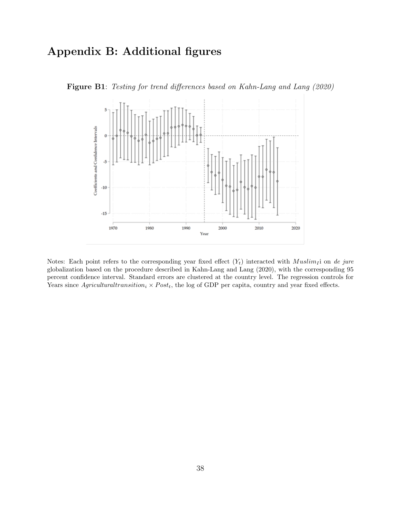## Appendix B: Additional figures



Figure B1: Testing for trend differences based on Kahn-Lang and Lang (2020)

Notes: Each point refers to the corresponding year fixed effect  $(Y_t)$  interacted with Muslim<sub>I</sub> i on de jure globalization based on the procedure described in Kahn-Lang and Lang (2020), with the corresponding 95 percent confidence interval. Standard errors are clustered at the country level. The regression controls for Years since  $Agricultural transition_i \times Post_t$ , the log of GDP per capita, country and year fixed effects.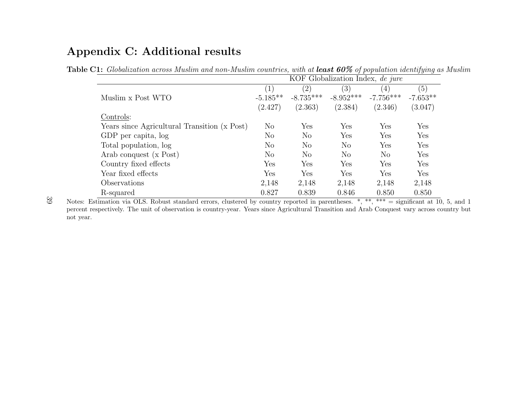## Appendix C: Additional results

|                                              |                  |                   | KOF Globalization Index, de jure |                |            |
|----------------------------------------------|------------------|-------------------|----------------------------------|----------------|------------|
|                                              | $\left(1\right)$ | $\left( 2\right)$ | (3)                              | (4)            | (5)        |
| Muslim x Post WTO                            | $-5.185**$       | $-8.735***$       | $-8.952***$                      | $-7.756***$    | $-7.653**$ |
|                                              | (2.427)          | (2.363)           | (2.384)                          | (2.346)        | (3.047)    |
| Controls:                                    |                  |                   |                                  |                |            |
| Years since Agricultural Transition (x Post) | No               | Yes               | Yes                              | Yes            | Yes        |
| GDP per capita, log                          | N <sub>o</sub>   | No                | Yes                              | Yes            | Yes        |
| Total population, log                        | N <sub>o</sub>   | N <sub>o</sub>    | N <sub>o</sub>                   | Yes            | Yes        |
| Arab conquest (x Post)                       | N <sub>o</sub>   | N <sub>o</sub>    | N <sub>o</sub>                   | N <sub>o</sub> | Yes        |
| Country fixed effects                        | Yes              | Yes               | Yes                              | Yes            | Yes        |
| Year fixed effects                           | Yes              | Yes               | Yes                              | Yes            | Yes        |
| Observations                                 | 2,148            | 2,148             | 2,148                            | 2,148          | 2,148      |
| R-squared                                    | 0.827            | 0.839             | 0.846                            | 0.850          | 0.850      |

**Table C<u>1:** Globalization across Muslim and non-Muslim countries, with at **least 60%** of population identifying as Muslim  $\overline{K$  Clobalization Index *de inve*</u>

 percent respectively. The unit of observation is country-year. Years since Agricultural Transition and Arab Conquest vary across country butnot year.

39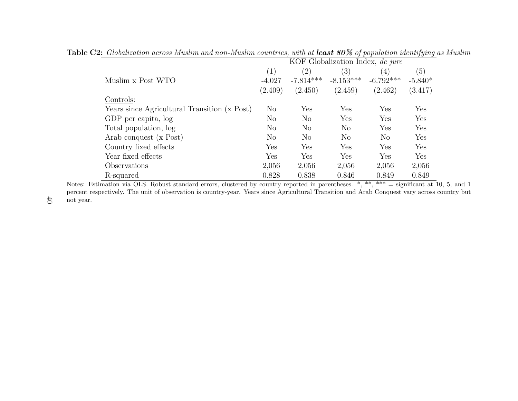|                                              |                   |                | KOF Globalization Index, de jure |                |                      |
|----------------------------------------------|-------------------|----------------|----------------------------------|----------------|----------------------|
|                                              | $\left( 1\right)$ | (2)            | (3)                              | (4)            | (5)                  |
| Muslim x Post WTO                            | $-4.027$          | $-7.814***$    | $-8.153***$                      | $-6.792***$    | $-5.840*$            |
|                                              | (2.409)           | (2.450)        | (2.459)                          | (2.462)        | (3.417)              |
| Controls:                                    |                   |                |                                  |                |                      |
| Years since Agricultural Transition (x Post) | No                | Yes            | Yes                              | Yes            | Yes                  |
| GDP per capita, log                          | No                | No             | Yes                              | Yes            | $\operatorname{Yes}$ |
| Total population, log                        | No                | N <sub>o</sub> | N <sub>o</sub>                   | Yes            | $\operatorname{Yes}$ |
| Arab conquest (x Post)                       | No                | N <sub>o</sub> | No                               | N <sub>o</sub> | Yes                  |
| Country fixed effects                        | Yes               | Yes            | Yes                              | Yes            | Yes                  |
| Year fixed effects                           | Yes               | Yes            | Yes                              | Yes            | Yes                  |
| Observations                                 | 2,056             | 2,056          | 2,056                            | 2,056          | 2,056                |
| R-squared                                    | 0.828             | 0.838          | 0.846                            | 0.849          | 0.849                |

**Table C2:** Globalization across Muslim and non-Muslim countries, with at **least 80%** of population identifying as Muslim<br>KOF Globalization Index, de ivre

 percent respectively. The unit of observation is country-year. Years since Agricultural Transition and Arab Conquest vary across country butnot year.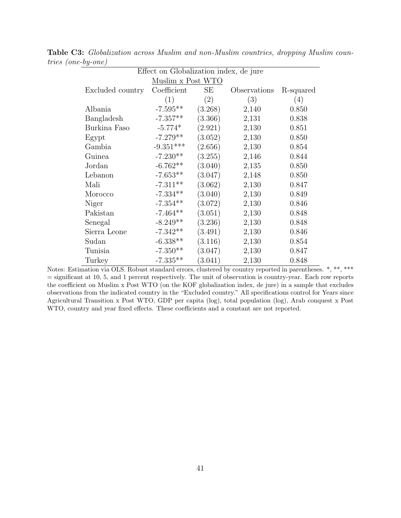| $\sigma$ , $\sigma$ , $\sigma$ , $\sigma$ |                   |         |              |           |  |  |  |  |  |  |
|-------------------------------------------|-------------------|---------|--------------|-----------|--|--|--|--|--|--|
| Effect on Globalization index, de jure    |                   |         |              |           |  |  |  |  |  |  |
|                                           | Muslim x Post WTO |         |              |           |  |  |  |  |  |  |
| Excluded country                          | Coefficient       | SE      | Observations | R-squared |  |  |  |  |  |  |
|                                           | (1)               | (2)     | (3)          | (4)       |  |  |  |  |  |  |
| Albania                                   | $-7.595**$        | (3.268) | 2,140        | 0.850     |  |  |  |  |  |  |
| Bangladesh                                | $-7.357**$        | (3.366) | 2,131        | 0.838     |  |  |  |  |  |  |
| Burkina Faso                              | $-5.774*$         | (2.921) | 2,130        | 0.851     |  |  |  |  |  |  |
| Egypt                                     | $-7.279**$        | (3.052) | 2,130        | 0.850     |  |  |  |  |  |  |
| Gambia                                    | $-9.351***$       | (2.656) | 2,130        | 0.854     |  |  |  |  |  |  |
| Guinea                                    | $-7.230**$        | (3.255) | 2,146        | 0.844     |  |  |  |  |  |  |
| Jordan                                    | $-6.762**$        | (3.040) | 2,135        | 0.850     |  |  |  |  |  |  |
| Lebanon                                   | $-7.653**$        | (3.047) | 2,148        | 0.850     |  |  |  |  |  |  |
| Mali                                      | $-7.311**$        | (3.062) | 2,130        | 0.847     |  |  |  |  |  |  |
| Morocco                                   | $-7.334**$        | (3.040) | 2,130        | 0.849     |  |  |  |  |  |  |
| Niger                                     | $-7.354**$        | (3.072) | 2,130        | 0.846     |  |  |  |  |  |  |
| Pakistan                                  | $-7.464**$        | (3.051) | 2,130        | 0.848     |  |  |  |  |  |  |
| Senegal                                   | $-8.249**$        | (3.236) | 2,130        | 0.848     |  |  |  |  |  |  |
| Sierra Leone                              | $-7.342**$        | (3.491) | 2,130        | 0.846     |  |  |  |  |  |  |
| Sudan                                     | $-6.338**$        | (3.116) | 2,130        | 0.854     |  |  |  |  |  |  |
| Tunisia                                   | $-7.350**$        | (3.047) | 2,130        | 0.847     |  |  |  |  |  |  |
| Turkey                                    | $-7.335**$        | (3.041) | 2,130        | 0.848     |  |  |  |  |  |  |

Table C3: Globalization across Muslim and non-Muslim countries, dropping Muslim countries (one-by-one)

Notes: Estimation via OLS. Robust standard errors, clustered by country reported in parentheses. \*, \*\*, \*\*\* = significant at 10, 5, and 1 percent respectively. The unit of observation is country-year. Each row reports the coefficient on Muslim x Post WTO (on the KOF globalization index, de jure) in a sample that excludes observations from the indicated country in the "Excluded country." All specifications control for Years since Agricultural Transition x Post WTO, GDP per capita (log), total population (log), Arab conquest x Post WTO, country and year fixed effects. These coefficients and a constant are not reported.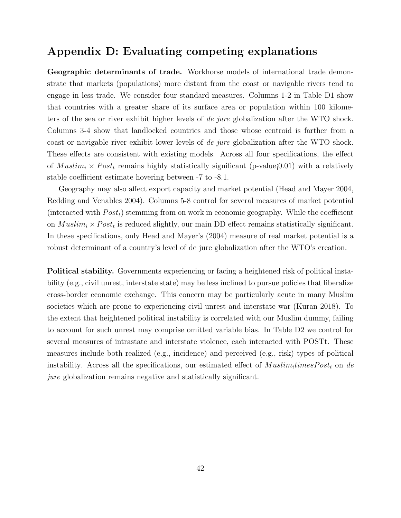## Appendix D: Evaluating competing explanations

Geographic determinants of trade. Workhorse models of international trade demonstrate that markets (populations) more distant from the coast or navigable rivers tend to engage in less trade. We consider four standard measures. Columns 1-2 in Table D1 show that countries with a greater share of its surface area or population within 100 kilometers of the sea or river exhibit higher levels of de jure globalization after the WTO shock. Columns 3-4 show that landlocked countries and those whose centroid is farther from a coast or navigable river exhibit lower levels of de jure globalization after the WTO shock. These effects are consistent with existing models. Across all four specifications, the effect of  $Muslim_i \times Post_t$  remains highly statistically significant (p-value<sub>[0.01</sub>) with a relatively stable coefficient estimate hovering between -7 to -8.1.

Geography may also affect export capacity and market potential (Head and Mayer 2004, Redding and Venables 2004). Columns 5-8 control for several measures of market potential (interacted with  $Post<sub>t</sub>$ ) stemming from on work in economic geography. While the coefficient on  $Muslim_i \times Post_t$  is reduced slightly, our main DD effect remains statistically significant. In these specifications, only Head and Mayer's (2004) measure of real market potential is a robust determinant of a country's level of de jure globalization after the WTO's creation.

Political stability. Governments experiencing or facing a heightened risk of political instability (e.g., civil unrest, interstate state) may be less inclined to pursue policies that liberalize cross-border economic exchange. This concern may be particularly acute in many Muslim societies which are prone to experiencing civil unrest and interstate war (Kuran 2018). To the extent that heightened political instability is correlated with our Muslim dummy, failing to account for such unrest may comprise omitted variable bias. In Table D2 we control for several measures of intrastate and interstate violence, each interacted with POSTt. These measures include both realized (e.g., incidence) and perceived (e.g., risk) types of political instability. Across all the specifications, our estimated effect of  $Muslim_$ timesPost\_t on de jure globalization remains negative and statistically significant.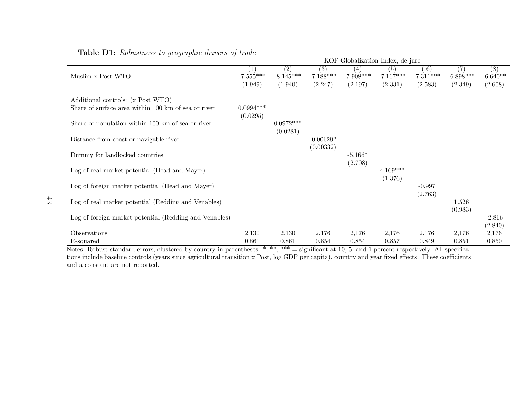|                                                        |                         |                         |                          | KOF Globalization Index, de jure |                    |                   |                    |                                |
|--------------------------------------------------------|-------------------------|-------------------------|--------------------------|----------------------------------|--------------------|-------------------|--------------------|--------------------------------|
| Muslim x Post WTO                                      | (1)<br>$-7.555***$      | (2)<br>$-8.145***$      | (3)<br>$-7.188***$       | (4)<br>$-7.908***$               | (5)<br>$-7.167***$ | 6)<br>$-7.311***$ | (7)<br>$-6.898***$ | $\overline{(8)}$<br>$-6.640**$ |
|                                                        | (1.949)                 | (1.940)                 | (2.247)                  | (2.197)                          | (2.331)            | (2.583)           | (2.349)            | (2.608)                        |
| Additional controls: (x Post WTO)                      |                         |                         |                          |                                  |                    |                   |                    |                                |
| Share of surface area within 100 km of sea or river    | $0.0994***$<br>(0.0295) |                         |                          |                                  |                    |                   |                    |                                |
| Share of population within 100 km of sea or river      |                         | $0.0972***$<br>(0.0281) |                          |                                  |                    |                   |                    |                                |
| Distance from coast or navigable river                 |                         |                         | $-0.00629*$<br>(0.00332) |                                  |                    |                   |                    |                                |
| Dummy for landlocked countries                         |                         |                         |                          | $-5.166*$                        |                    |                   |                    |                                |
| Log of real market potential (Head and Mayer)          |                         |                         |                          | (2.708)                          | $4.169***$         |                   |                    |                                |
| Log of foreign market potential (Head and Mayer)       |                         |                         |                          |                                  | (1.376)            | $-0.997$          |                    |                                |
| Log of real market potential (Redding and Venables)    |                         |                         |                          |                                  |                    | (2.763)           | 1.526<br>(0.983)   |                                |
| Log of foreign market potential (Redding and Venables) |                         |                         |                          |                                  |                    |                   |                    | $-2.866$<br>(2.840)            |
| Observations                                           | 2,130                   | 2,130                   | 2,176                    | 2,176                            | 2,176              | 2,176             | 2,176              | 2,176                          |
| R-squared                                              | 0.861                   | 0.861                   | 0.854                    | 0.854                            | 0.857              | 0.849             | 0.851              | 0.850                          |

#### **Table D1:** Robustness to geographic drivers of trade

Notes: Robust standard errors, clustered by country in parentheses. \*, \*\*, \*\*\* = significant at 10, 5, and 1 percent respectively. All specifications include baseline controls (years since agricultural transition <sup>x</sup> Post, log GDP per capita), country and year fixed effects. These coefficientsand <sup>a</sup> constant are not reported.

 $43\,$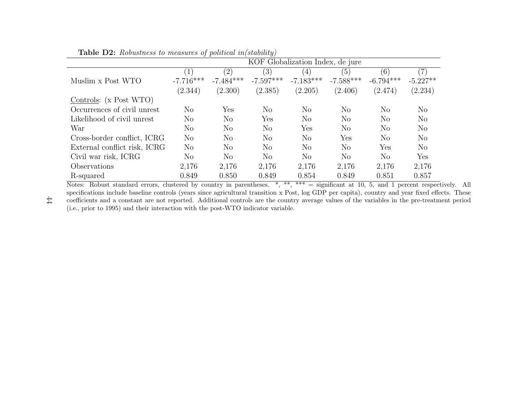|                                                                     | KOF Globalization Index, de jure |                |                |                |             |                |                                                           |
|---------------------------------------------------------------------|----------------------------------|----------------|----------------|----------------|-------------|----------------|-----------------------------------------------------------|
|                                                                     | $\left(1\right)$                 | (2)            | (3)            | (4)            | (5)         | (6)            | $\left( 7\right)$                                         |
| Muslim x Post WTO                                                   | $-7.716***$                      | $-7.484***$    | $-7.597***$    | $-7.183***$    | $-7.588***$ | $-6.794***$    | $-5.227**$                                                |
|                                                                     | (2.344)                          | (2.300)        | (2.385)        | (2.205)        | (2.406)     | (2.474)        | (2.234)                                                   |
| Controls: $(x$ Post WTO)                                            |                                  |                |                |                |             |                |                                                           |
| Occurrences of civil unrest                                         | N <sub>o</sub>                   | Yes            | N <sub>o</sub> | N <sub>o</sub> | No          | $\rm No$       | No                                                        |
| Likelihood of civil unrest                                          | $\rm No$                         | N <sub>o</sub> | Yes            | $\rm No$       | $\rm No$    | $\rm No$       | N <sub>o</sub>                                            |
| War                                                                 | N <sub>o</sub>                   | $\rm No$       | $\rm No$       | Yes            | $\rm No$    | N <sub>o</sub> | N <sub>o</sub>                                            |
| Cross-border conflict, ICRG                                         | $\rm No$                         | N <sub>o</sub> | N <sub>o</sub> | $\rm No$       | Yes         | $\rm No$       | N <sub>o</sub>                                            |
| External conflict risk, ICRG                                        | $\rm No$                         | N <sub>o</sub> | N <sub>o</sub> | $\rm No$       | No          | Yes            | N <sub>o</sub>                                            |
| Civil war risk, ICRG                                                | N <sub>o</sub>                   | N <sub>o</sub> | $\rm No$       | $\rm No$       | $\rm No$    | $\rm No$       | Yes                                                       |
| Observations                                                        | 2,176                            | 2,176          | 2,176          | 2,176          | 2,176       | 2,176          | 2,176                                                     |
| R-squared                                                           | 0.849                            | 0.850          | 0.849          | 0.854          | 0.849       | 0.851          | 0.857                                                     |
| Notes: Robust standard errors, clustered by country in parentheses. |                                  |                |                | **<br>***      |             |                | $=$ significant at 10, 5, and 1 percent respectively. All |

**Table D2:** Robustness to measures of political in(stability)

 specifications include baseline controls (years since agricultural transition <sup>x</sup> Post, log GDP per capita), country and year fixed effects. These coefficients and <sup>a</sup> constant are not reported. Additional controls are the country average values of the variables in the pre-treatment period(i.e., prior to 1995) and their interaction with the post-WTO indicator variable.

 $\pm4$